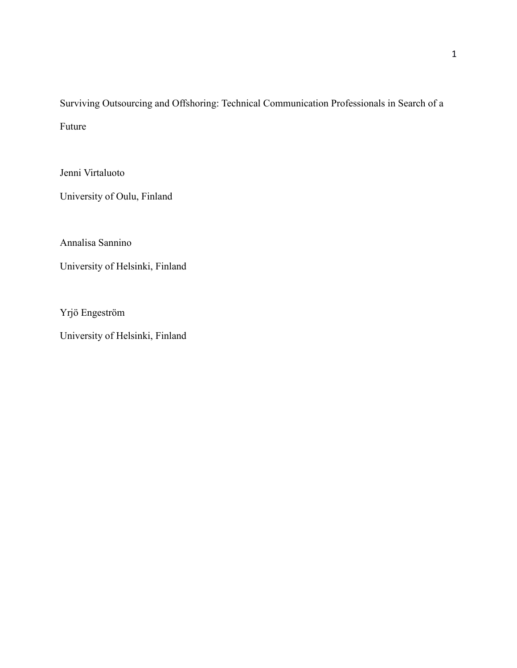Surviving Outsourcing and Offshoring: Technical Communication Professionals in Search of a Future

Jenni Virtaluoto

University of Oulu, Finland

Annalisa Sannino

University of Helsinki, Finland

Yrjö Engeström

University of Helsinki, Finland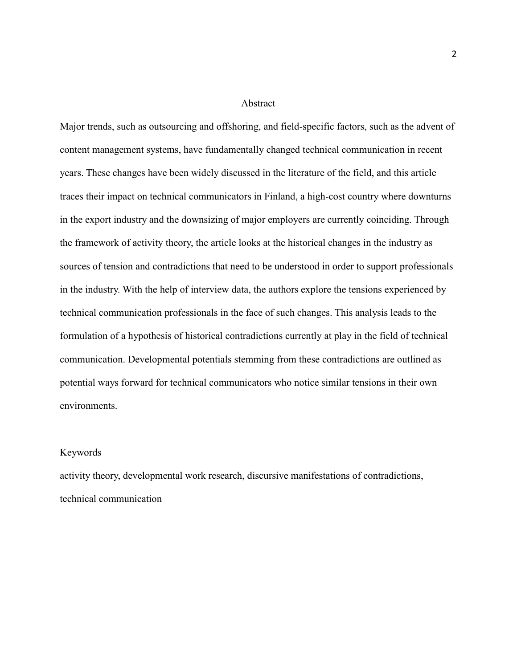#### Abstract

Major trends, such as outsourcing and offshoring, and field-specific factors, such as the advent of content management systems, have fundamentally changed technical communication in recent years. These changes have been widely discussed in the literature of the field, and this article traces their impact on technical communicators in Finland, a high-cost country where downturns in the export industry and the downsizing of major employers are currently coinciding. Through the framework of activity theory, the article looks at the historical changes in the industry as sources of tension and contradictions that need to be understood in order to support professionals in the industry. With the help of interview data, the authors explore the tensions experienced by technical communication professionals in the face of such changes. This analysis leads to the formulation of a hypothesis of historical contradictions currently at play in the field of technical communication. Developmental potentials stemming from these contradictions are outlined as potential ways forward for technical communicators who notice similar tensions in their own environments.

# Keywords

activity theory, developmental work research, discursive manifestations of contradictions, technical communication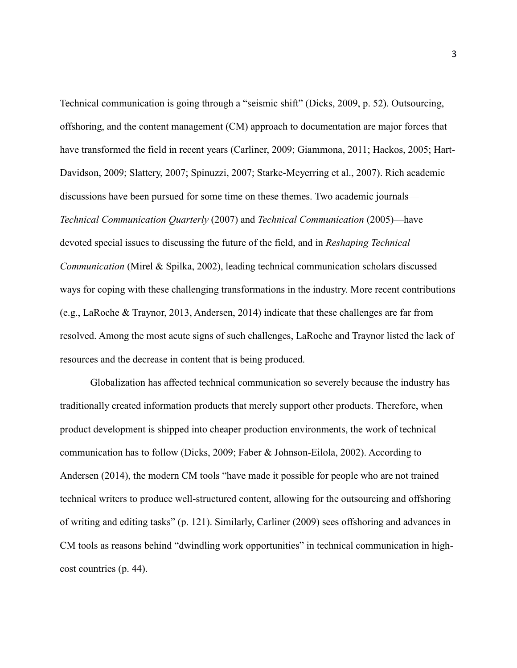Technical communication is going through a "seismic shift" (Dicks, 2009, p. 52). Outsourcing, offshoring, and the content management (CM) approach to documentation are major forces that have transformed the field in recent years (Carliner, 2009; Giammona, 2011; Hackos, 2005; Hart-Davidson, 2009; Slattery, 2007; Spinuzzi, 2007; Starke-Meyerring et al., 2007). Rich academic discussions have been pursued for some time on these themes. Two academic journals— *Technical Communication Quarterly* (2007) and *Technical Communication* (2005)—have devoted special issues to discussing the future of the field, and in *Reshaping Technical Communication* (Mirel & Spilka, 2002), leading technical communication scholars discussed ways for coping with these challenging transformations in the industry. More recent contributions (e.g., LaRoche & Traynor, 2013, Andersen, 2014) indicate that these challenges are far from resolved. Among the most acute signs of such challenges, LaRoche and Traynor listed the lack of resources and the decrease in content that is being produced.

Globalization has affected technical communication so severely because the industry has traditionally created information products that merely support other products. Therefore, when product development is shipped into cheaper production environments, the work of technical communication has to follow (Dicks, 2009; Faber & Johnson-Eilola, 2002). According to Andersen (2014), the modern CM tools "have made it possible for people who are not trained technical writers to produce well-structured content, allowing for the outsourcing and offshoring of writing and editing tasks" (p. 121). Similarly, Carliner (2009) sees offshoring and advances in CM tools as reasons behind "dwindling work opportunities" in technical communication in highcost countries (p. 44).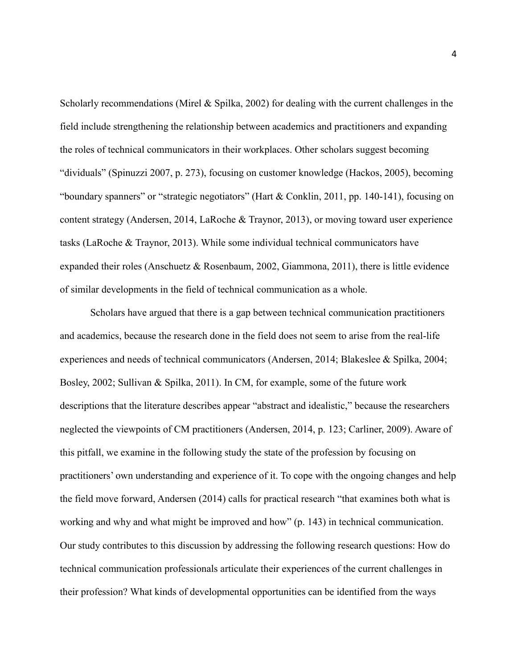Scholarly recommendations (Mirel & Spilka, 2002) for dealing with the current challenges in the field include strengthening the relationship between academics and practitioners and expanding the roles of technical communicators in their workplaces. Other scholars suggest becoming "dividuals" (Spinuzzi 2007, p. 273), focusing on customer knowledge (Hackos, 2005), becoming "boundary spanners" or "strategic negotiators" (Hart & Conklin, 2011, pp. 140-141), focusing on content strategy (Andersen, 2014, LaRoche & Traynor, 2013), or moving toward user experience tasks (LaRoche & Traynor, 2013). While some individual technical communicators have expanded their roles (Anschuetz & Rosenbaum, 2002, Giammona, 2011), there is little evidence of similar developments in the field of technical communication as a whole.

Scholars have argued that there is a gap between technical communication practitioners and academics, because the research done in the field does not seem to arise from the real-life experiences and needs of technical communicators (Andersen, 2014; Blakeslee & Spilka, 2004; Bosley, 2002; Sullivan & Spilka, 2011). In CM, for example, some of the future work descriptions that the literature describes appear "abstract and idealistic," because the researchers neglected the viewpoints of CM practitioners (Andersen, 2014, p. 123; Carliner, 2009). Aware of this pitfall, we examine in the following study the state of the profession by focusing on practitioners' own understanding and experience of it. To cope with the ongoing changes and help the field move forward, Andersen (2014) calls for practical research "that examines both what is working and why and what might be improved and how" (p. 143) in technical communication. Our study contributes to this discussion by addressing the following research questions: How do technical communication professionals articulate their experiences of the current challenges in their profession? What kinds of developmental opportunities can be identified from the ways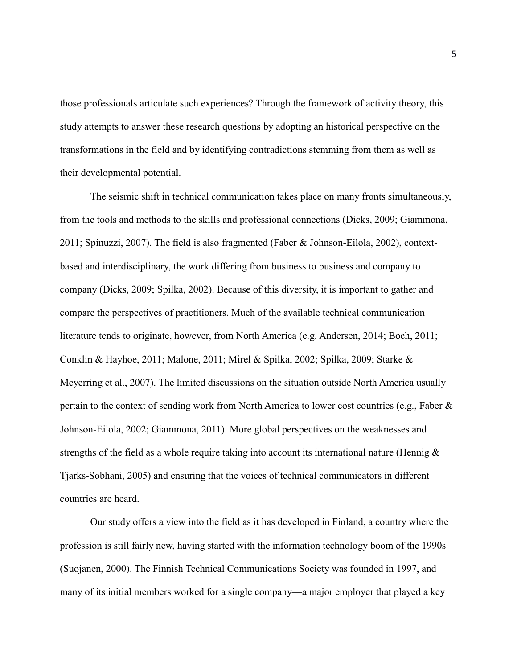those professionals articulate such experiences? Through the framework of activity theory, this study attempts to answer these research questions by adopting an historical perspective on the transformations in the field and by identifying contradictions stemming from them as well as their developmental potential.

The seismic shift in technical communication takes place on many fronts simultaneously, from the tools and methods to the skills and professional connections (Dicks, 2009; Giammona, 2011; Spinuzzi, 2007). The field is also fragmented (Faber & Johnson-Eilola, 2002), contextbased and interdisciplinary, the work differing from business to business and company to company (Dicks, 2009; Spilka, 2002). Because of this diversity, it is important to gather and compare the perspectives of practitioners. Much of the available technical communication literature tends to originate, however, from North America (e.g. Andersen, 2014; Boch, 2011; Conklin & Hayhoe, 2011; Malone, 2011; Mirel & Spilka, 2002; Spilka, 2009; Starke & Meyerring et al., 2007). The limited discussions on the situation outside North America usually pertain to the context of sending work from North America to lower cost countries (e.g., Faber & Johnson-Eilola, 2002; Giammona, 2011). More global perspectives on the weaknesses and strengths of the field as a whole require taking into account its international nature (Hennig  $\&$ Tjarks-Sobhani, 2005) and ensuring that the voices of technical communicators in different countries are heard.

Our study offers a view into the field as it has developed in Finland, a country where the profession is still fairly new, having started with the information technology boom of the 1990s (Suojanen, 2000). The Finnish Technical Communications Society was founded in 1997, and many of its initial members worked for a single company—a major employer that played a key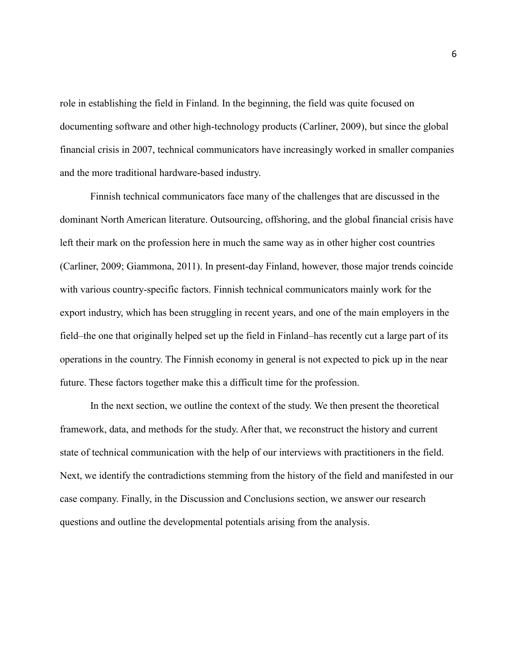role in establishing the field in Finland. In the beginning, the field was quite focused on documenting software and other high-technology products (Carliner, 2009), but since the global financial crisis in 2007, technical communicators have increasingly worked in smaller companies and the more traditional hardware-based industry.

Finnish technical communicators face many of the challenges that are discussed in the dominant North American literature. Outsourcing, offshoring, and the global financial crisis have left their mark on the profession here in much the same way as in other higher cost countries (Carliner, 2009; Giammona, 2011). In present-day Finland, however, those major trends coincide with various country-specific factors. Finnish technical communicators mainly work for the export industry, which has been struggling in recent years, and one of the main employers in the field–the one that originally helped set up the field in Finland–has recently cut a large part of its operations in the country. The Finnish economy in general is not expected to pick up in the near future. These factors together make this a difficult time for the profession.

In the next section, we outline the context of the study. We then present the theoretical framework, data, and methods for the study. After that, we reconstruct the history and current state of technical communication with the help of our interviews with practitioners in the field. Next, we identify the contradictions stemming from the history of the field and manifested in our case company. Finally, in the Discussion and Conclusions section, we answer our research questions and outline the developmental potentials arising from the analysis.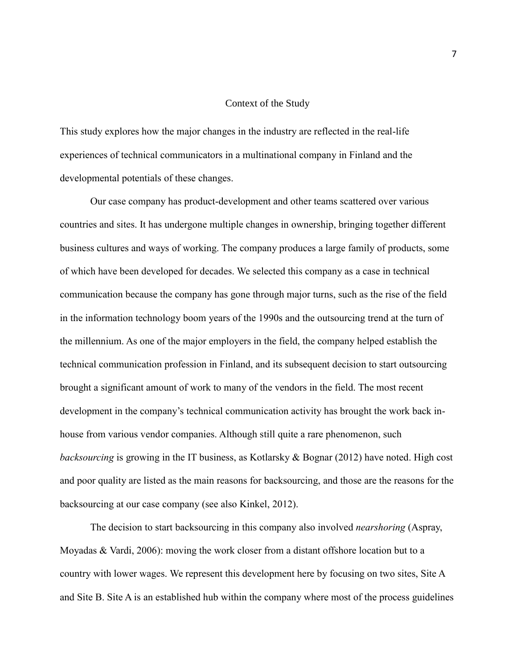#### Context of the Study

This study explores how the major changes in the industry are reflected in the real-life experiences of technical communicators in a multinational company in Finland and the developmental potentials of these changes.

Our case company has product-development and other teams scattered over various countries and sites. It has undergone multiple changes in ownership, bringing together different business cultures and ways of working. The company produces a large family of products, some of which have been developed for decades. We selected this company as a case in technical communication because the company has gone through major turns, such as the rise of the field in the information technology boom years of the 1990s and the outsourcing trend at the turn of the millennium. As one of the major employers in the field, the company helped establish the technical communication profession in Finland, and its subsequent decision to start outsourcing brought a significant amount of work to many of the vendors in the field. The most recent development in the company's technical communication activity has brought the work back inhouse from various vendor companies. Although still quite a rare phenomenon, such *backsourcing* is growing in the IT business, as Kotlarsky & Bognar (2012) have noted. High cost and poor quality are listed as the main reasons for backsourcing, and those are the reasons for the backsourcing at our case company (see also Kinkel, 2012).

The decision to start backsourcing in this company also involved *nearshoring* (Aspray, Moyadas & Vardi, 2006): moving the work closer from a distant offshore location but to a country with lower wages. We represent this development here by focusing on two sites, Site A and Site B. Site A is an established hub within the company where most of the process guidelines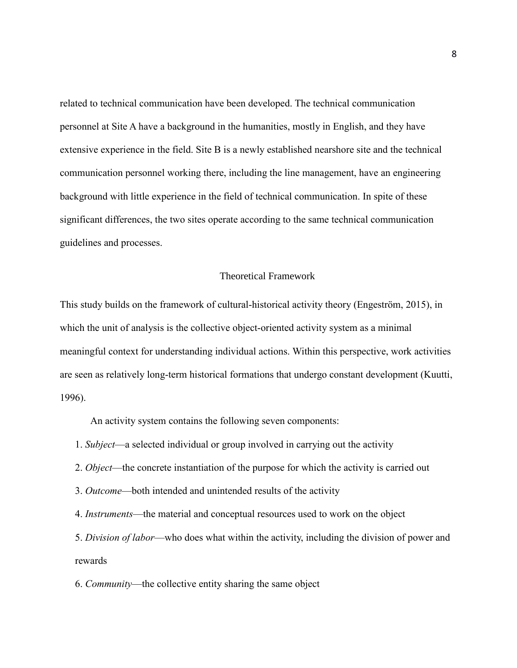related to technical communication have been developed. The technical communication personnel at Site A have a background in the humanities, mostly in English, and they have extensive experience in the field. Site B is a newly established nearshore site and the technical communication personnel working there, including the line management, have an engineering background with little experience in the field of technical communication. In spite of these significant differences, the two sites operate according to the same technical communication guidelines and processes.

## Theoretical Framework

This study builds on the framework of cultural-historical activity theory (Engeström, 2015), in which the unit of analysis is the collective object-oriented activity system as a minimal meaningful context for understanding individual actions. Within this perspective, work activities are seen as relatively long-term historical formations that undergo constant development (Kuutti, 1996).

An activity system contains the following seven components:

- 1. *Subject*—a selected individual or group involved in carrying out the activity
- 2. *Object*—the concrete instantiation of the purpose for which the activity is carried out
- 3. *Outcome*—both intended and unintended results of the activity

4. *Instruments*—the material and conceptual resources used to work on the object

5. *Division of labor*—who does what within the activity, including the division of power and rewards

6. *Community*—the collective entity sharing the same object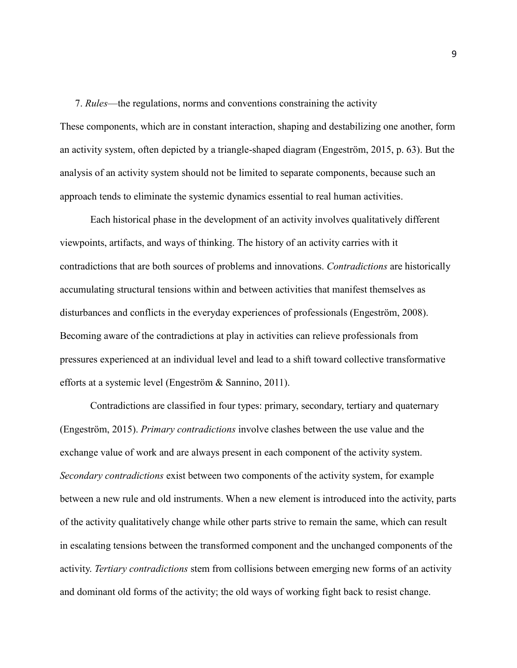7. *Rules*—the regulations, norms and conventions constraining the activity

These components, which are in constant interaction, shaping and destabilizing one another, form an activity system, often depicted by a triangle-shaped diagram (Engeström, 2015, p. 63). But the analysis of an activity system should not be limited to separate components, because such an approach tends to eliminate the systemic dynamics essential to real human activities.

Each historical phase in the development of an activity involves qualitatively different viewpoints, artifacts, and ways of thinking. The history of an activity carries with it contradictions that are both sources of problems and innovations. *Contradictions* are historically accumulating structural tensions within and between activities that manifest themselves as disturbances and conflicts in the everyday experiences of professionals (Engeström, 2008). Becoming aware of the contradictions at play in activities can relieve professionals from pressures experienced at an individual level and lead to a shift toward collective transformative efforts at a systemic level (Engeström & Sannino, 2011).

Contradictions are classified in four types: primary, secondary, tertiary and quaternary (Engeström, 2015). *Primary contradictions* involve clashes between the use value and the exchange value of work and are always present in each component of the activity system. *Secondary contradictions* exist between two components of the activity system, for example between a new rule and old instruments. When a new element is introduced into the activity, parts of the activity qualitatively change while other parts strive to remain the same, which can result in escalating tensions between the transformed component and the unchanged components of the activity. *Tertiary contradictions* stem from collisions between emerging new forms of an activity and dominant old forms of the activity; the old ways of working fight back to resist change.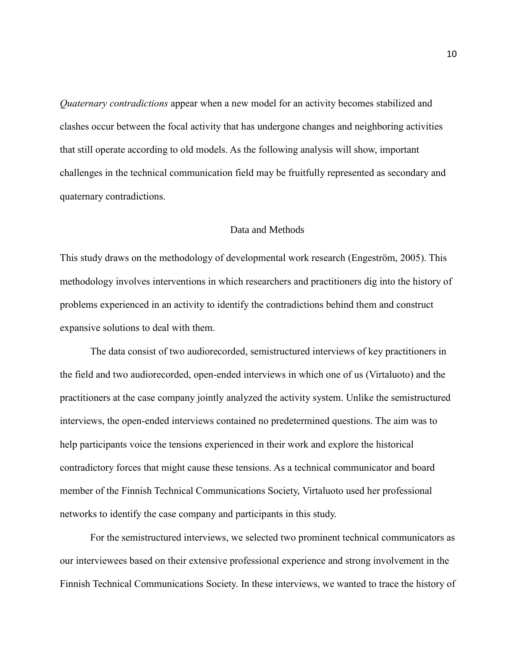*Quaternary contradictions* appear when a new model for an activity becomes stabilized and clashes occur between the focal activity that has undergone changes and neighboring activities that still operate according to old models. As the following analysis will show, important challenges in the technical communication field may be fruitfully represented as secondary and quaternary contradictions.

# Data and Methods

This study draws on the methodology of developmental work research (Engeström, 2005). This methodology involves interventions in which researchers and practitioners dig into the history of problems experienced in an activity to identify the contradictions behind them and construct expansive solutions to deal with them.

The data consist of two audiorecorded, semistructured interviews of key practitioners in the field and two audiorecorded, open-ended interviews in which one of us (Virtaluoto) and the practitioners at the case company jointly analyzed the activity system. Unlike the semistructured interviews, the open-ended interviews contained no predetermined questions. The aim was to help participants voice the tensions experienced in their work and explore the historical contradictory forces that might cause these tensions. As a technical communicator and board member of the Finnish Technical Communications Society, Virtaluoto used her professional networks to identify the case company and participants in this study.

For the semistructured interviews, we selected two prominent technical communicators as our interviewees based on their extensive professional experience and strong involvement in the Finnish Technical Communications Society. In these interviews, we wanted to trace the history of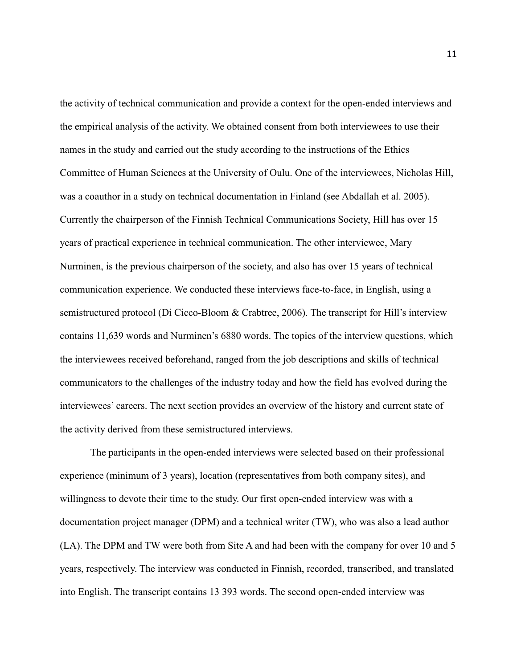the activity of technical communication and provide a context for the open-ended interviews and the empirical analysis of the activity. We obtained consent from both interviewees to use their names in the study and carried out the study according to the instructions of the Ethics Committee of Human Sciences at the University of Oulu. One of the interviewees, Nicholas Hill, was a coauthor in a study on technical documentation in Finland (see Abdallah et al. 2005). Currently the chairperson of the Finnish Technical Communications Society, Hill has over 15 years of practical experience in technical communication. The other interviewee, Mary Nurminen, is the previous chairperson of the society, and also has over 15 years of technical communication experience. We conducted these interviews face-to-face, in English, using a semistructured protocol (Di Cicco-Bloom & Crabtree, 2006). The transcript for Hill's interview contains 11,639 words and Nurminen's 6880 words. The topics of the interview questions, which the interviewees received beforehand, ranged from the job descriptions and skills of technical communicators to the challenges of the industry today and how the field has evolved during the interviewees' careers. The next section provides an overview of the history and current state of the activity derived from these semistructured interviews.

The participants in the open-ended interviews were selected based on their professional experience (minimum of 3 years), location (representatives from both company sites), and willingness to devote their time to the study. Our first open-ended interview was with a documentation project manager (DPM) and a technical writer (TW), who was also a lead author (LA). The DPM and TW were both from Site A and had been with the company for over 10 and 5 years, respectively. The interview was conducted in Finnish, recorded, transcribed, and translated into English. The transcript contains 13 393 words. The second open-ended interview was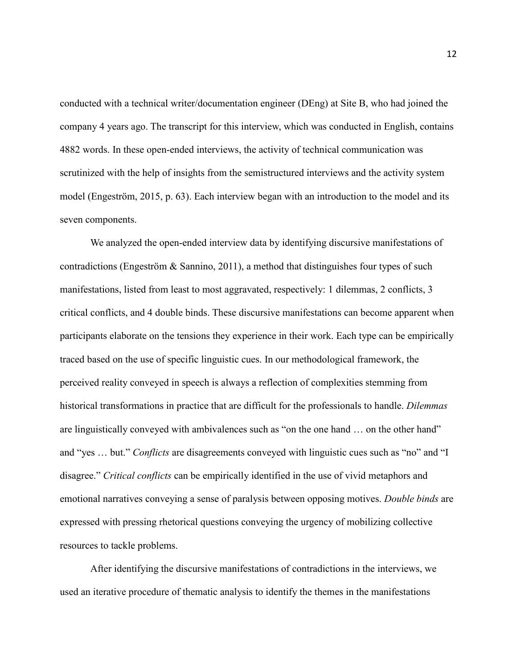conducted with a technical writer/documentation engineer (DEng) at Site B, who had joined the company 4 years ago. The transcript for this interview, which was conducted in English, contains 4882 words. In these open-ended interviews, the activity of technical communication was scrutinized with the help of insights from the semistructured interviews and the activity system model (Engeström, 2015, p. 63). Each interview began with an introduction to the model and its seven components.

We analyzed the open-ended interview data by identifying discursive manifestations of contradictions (Engeström & Sannino, 2011), a method that distinguishes four types of such manifestations, listed from least to most aggravated, respectively: 1 dilemmas, 2 conflicts, 3 critical conflicts, and 4 double binds. These discursive manifestations can become apparent when participants elaborate on the tensions they experience in their work. Each type can be empirically traced based on the use of specific linguistic cues. In our methodological framework, the perceived reality conveyed in speech is always a reflection of complexities stemming from historical transformations in practice that are difficult for the professionals to handle. *Dilemmas*  are linguistically conveyed with ambivalences such as "on the one hand … on the other hand" and "yes … but." *Conflicts* are disagreements conveyed with linguistic cues such as "no" and "I disagree." *Critical conflicts* can be empirically identified in the use of vivid metaphors and emotional narratives conveying a sense of paralysis between opposing motives. *Double binds* are expressed with pressing rhetorical questions conveying the urgency of mobilizing collective resources to tackle problems.

After identifying the discursive manifestations of contradictions in the interviews, we used an iterative procedure of thematic analysis to identify the themes in the manifestations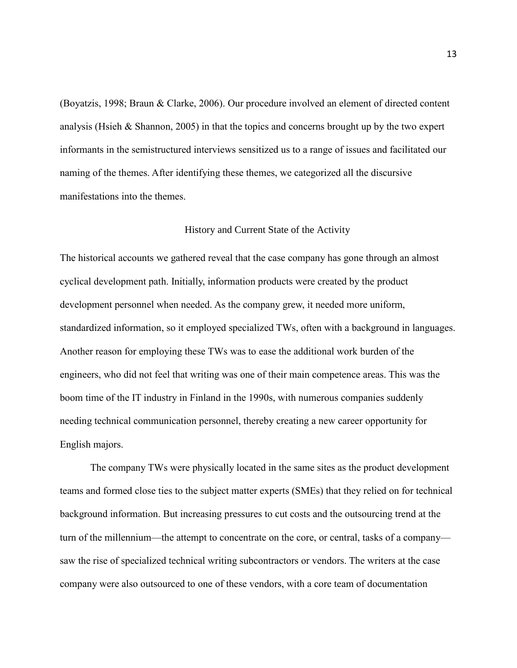(Boyatzis, 1998; Braun & Clarke, 2006). Our procedure involved an element of directed content analysis (Hsieh & Shannon, 2005) in that the topics and concerns brought up by the two expert informants in the semistructured interviews sensitized us to a range of issues and facilitated our naming of the themes. After identifying these themes, we categorized all the discursive manifestations into the themes.

#### History and Current State of the Activity

The historical accounts we gathered reveal that the case company has gone through an almost cyclical development path. Initially, information products were created by the product development personnel when needed. As the company grew, it needed more uniform, standardized information, so it employed specialized TWs, often with a background in languages. Another reason for employing these TWs was to ease the additional work burden of the engineers, who did not feel that writing was one of their main competence areas. This was the boom time of the IT industry in Finland in the 1990s, with numerous companies suddenly needing technical communication personnel, thereby creating a new career opportunity for English majors.

The company TWs were physically located in the same sites as the product development teams and formed close ties to the subject matter experts (SMEs) that they relied on for technical background information. But increasing pressures to cut costs and the outsourcing trend at the turn of the millennium—the attempt to concentrate on the core, or central, tasks of a company saw the rise of specialized technical writing subcontractors or vendors. The writers at the case company were also outsourced to one of these vendors, with a core team of documentation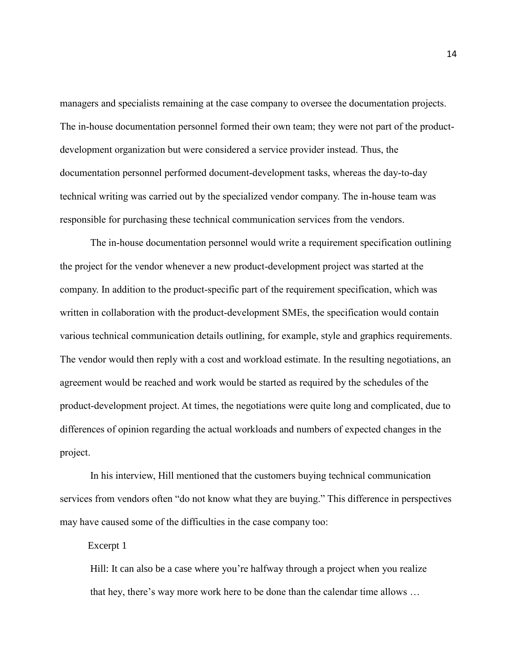managers and specialists remaining at the case company to oversee the documentation projects. The in-house documentation personnel formed their own team; they were not part of the productdevelopment organization but were considered a service provider instead. Thus, the documentation personnel performed document-development tasks, whereas the day-to-day technical writing was carried out by the specialized vendor company. The in-house team was responsible for purchasing these technical communication services from the vendors.

The in-house documentation personnel would write a requirement specification outlining the project for the vendor whenever a new product-development project was started at the company. In addition to the product-specific part of the requirement specification, which was written in collaboration with the product-development SMEs, the specification would contain various technical communication details outlining, for example, style and graphics requirements. The vendor would then reply with a cost and workload estimate. In the resulting negotiations, an agreement would be reached and work would be started as required by the schedules of the product-development project. At times, the negotiations were quite long and complicated, due to differences of opinion regarding the actual workloads and numbers of expected changes in the project.

In his interview, Hill mentioned that the customers buying technical communication services from vendors often "do not know what they are buying." This difference in perspectives may have caused some of the difficulties in the case company too:

Excerpt 1

Hill: It can also be a case where you're halfway through a project when you realize that hey, there's way more work here to be done than the calendar time allows …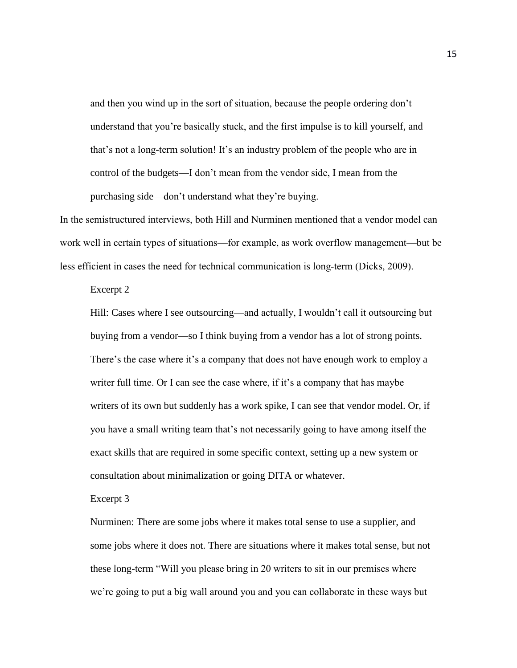and then you wind up in the sort of situation, because the people ordering don't understand that you're basically stuck, and the first impulse is to kill yourself, and that's not a long-term solution! It's an industry problem of the people who are in control of the budgets—I don't mean from the vendor side, I mean from the purchasing side—don't understand what they're buying.

In the semistructured interviews, both Hill and Nurminen mentioned that a vendor model can work well in certain types of situations—for example, as work overflow management—but be less efficient in cases the need for technical communication is long-term (Dicks, 2009).

Excerpt 2

Hill: Cases where I see outsourcing—and actually, I wouldn't call it outsourcing but buying from a vendor—so I think buying from a vendor has a lot of strong points. There's the case where it's a company that does not have enough work to employ a writer full time. Or I can see the case where, if it's a company that has maybe writers of its own but suddenly has a work spike, I can see that vendor model. Or, if you have a small writing team that's not necessarily going to have among itself the exact skills that are required in some specific context, setting up a new system or consultation about minimalization or going DITA or whatever.

Excerpt 3

Nurminen: There are some jobs where it makes total sense to use a supplier, and some jobs where it does not. There are situations where it makes total sense, but not these long-term "Will you please bring in 20 writers to sit in our premises where we're going to put a big wall around you and you can collaborate in these ways but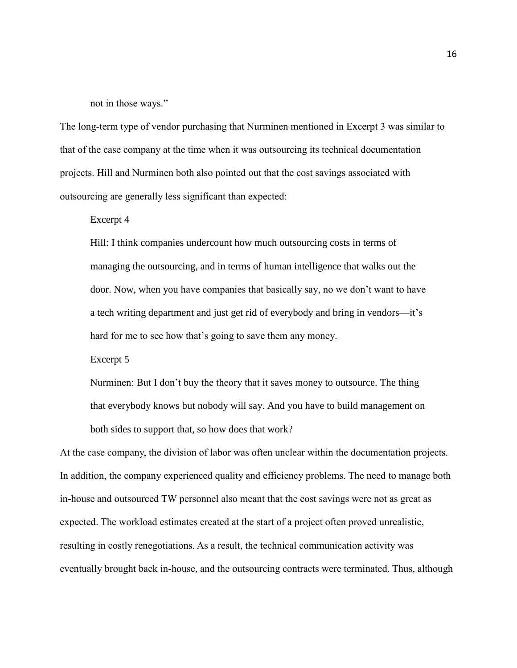not in those ways."

The long-term type of vendor purchasing that Nurminen mentioned in Excerpt 3 was similar to that of the case company at the time when it was outsourcing its technical documentation projects. Hill and Nurminen both also pointed out that the cost savings associated with outsourcing are generally less significant than expected:

Excerpt 4

Hill: I think companies undercount how much outsourcing costs in terms of managing the outsourcing, and in terms of human intelligence that walks out the door. Now, when you have companies that basically say, no we don't want to have a tech writing department and just get rid of everybody and bring in vendors—it's hard for me to see how that's going to save them any money.

Excerpt 5

Nurminen: But I don't buy the theory that it saves money to outsource. The thing that everybody knows but nobody will say. And you have to build management on both sides to support that, so how does that work?

At the case company, the division of labor was often unclear within the documentation projects. In addition, the company experienced quality and efficiency problems. The need to manage both in-house and outsourced TW personnel also meant that the cost savings were not as great as expected. The workload estimates created at the start of a project often proved unrealistic, resulting in costly renegotiations. As a result, the technical communication activity was eventually brought back in-house, and the outsourcing contracts were terminated. Thus, although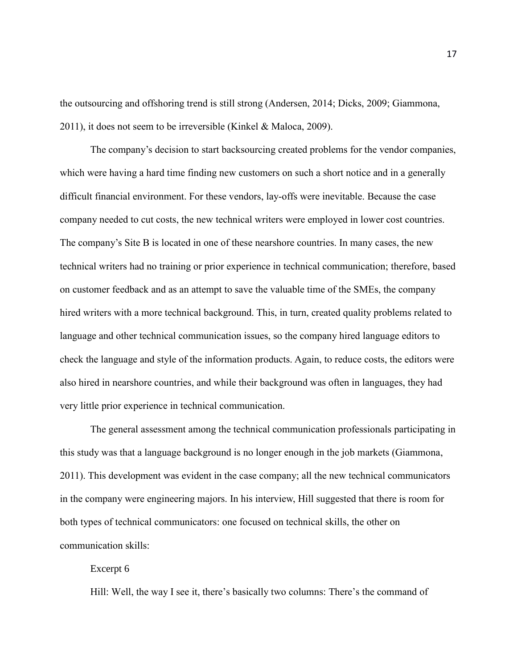the outsourcing and offshoring trend is still strong (Andersen, 2014; Dicks, 2009; Giammona, 2011), it does not seem to be irreversible (Kinkel & Maloca, 2009).

The company's decision to start backsourcing created problems for the vendor companies, which were having a hard time finding new customers on such a short notice and in a generally difficult financial environment. For these vendors, lay-offs were inevitable. Because the case company needed to cut costs, the new technical writers were employed in lower cost countries. The company's Site B is located in one of these nearshore countries. In many cases, the new technical writers had no training or prior experience in technical communication; therefore, based on customer feedback and as an attempt to save the valuable time of the SMEs, the company hired writers with a more technical background. This, in turn, created quality problems related to language and other technical communication issues, so the company hired language editors to check the language and style of the information products. Again, to reduce costs, the editors were also hired in nearshore countries, and while their background was often in languages, they had very little prior experience in technical communication.

The general assessment among the technical communication professionals participating in this study was that a language background is no longer enough in the job markets (Giammona, 2011). This development was evident in the case company; all the new technical communicators in the company were engineering majors. In his interview, Hill suggested that there is room for both types of technical communicators: one focused on technical skills, the other on communication skills:

# Excerpt 6

Hill: Well, the way I see it, there's basically two columns: There's the command of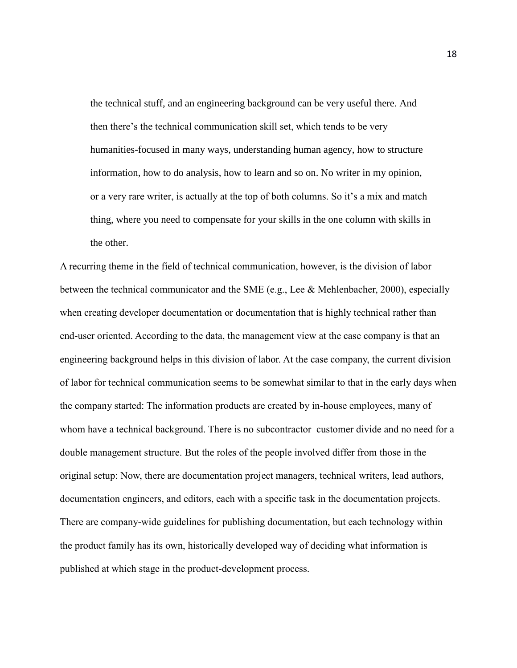the technical stuff, and an engineering background can be very useful there. And then there's the technical communication skill set, which tends to be very humanities-focused in many ways, understanding human agency, how to structure information, how to do analysis, how to learn and so on. No writer in my opinion, or a very rare writer, is actually at the top of both columns. So it's a mix and match thing, where you need to compensate for your skills in the one column with skills in the other.

A recurring theme in the field of technical communication, however, is the division of labor between the technical communicator and the SME (e.g., Lee & Mehlenbacher, 2000), especially when creating developer documentation or documentation that is highly technical rather than end-user oriented. According to the data, the management view at the case company is that an engineering background helps in this division of labor. At the case company, the current division of labor for technical communication seems to be somewhat similar to that in the early days when the company started: The information products are created by in-house employees, many of whom have a technical background. There is no subcontractor–customer divide and no need for a double management structure. But the roles of the people involved differ from those in the original setup: Now, there are documentation project managers, technical writers, lead authors, documentation engineers, and editors, each with a specific task in the documentation projects. There are company-wide guidelines for publishing documentation, but each technology within the product family has its own, historically developed way of deciding what information is published at which stage in the product-development process.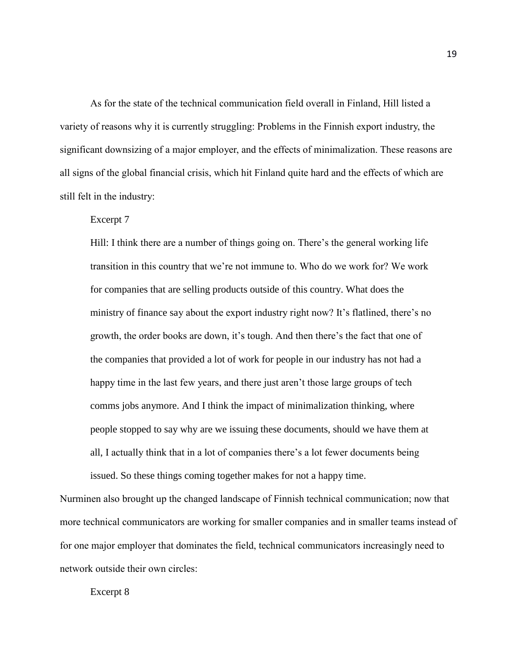As for the state of the technical communication field overall in Finland, Hill listed a variety of reasons why it is currently struggling: Problems in the Finnish export industry, the significant downsizing of a major employer, and the effects of minimalization. These reasons are all signs of the global financial crisis, which hit Finland quite hard and the effects of which are still felt in the industry:

# Excerpt 7

Hill: I think there are a number of things going on. There's the general working life transition in this country that we're not immune to. Who do we work for? We work for companies that are selling products outside of this country. What does the ministry of finance say about the export industry right now? It's flatlined, there's no growth, the order books are down, it's tough. And then there's the fact that one of the companies that provided a lot of work for people in our industry has not had a happy time in the last few years, and there just aren't those large groups of tech comms jobs anymore. And I think the impact of minimalization thinking, where people stopped to say why are we issuing these documents, should we have them at all, I actually think that in a lot of companies there's a lot fewer documents being issued. So these things coming together makes for not a happy time.

Nurminen also brought up the changed landscape of Finnish technical communication; now that more technical communicators are working for smaller companies and in smaller teams instead of for one major employer that dominates the field, technical communicators increasingly need to network outside their own circles:

Excerpt 8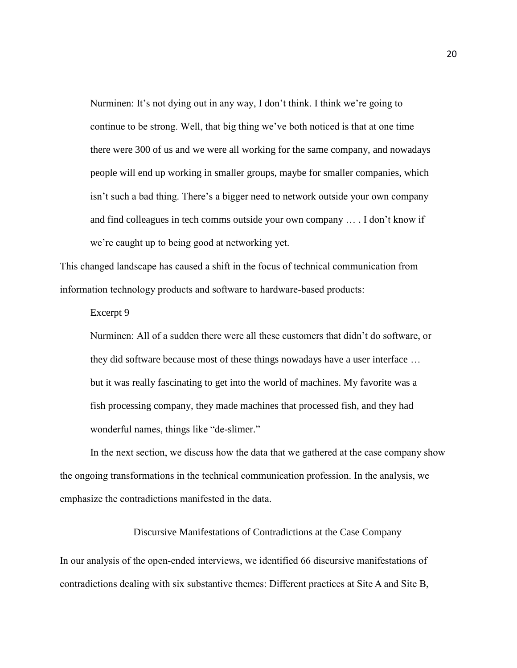Nurminen: It's not dying out in any way, I don't think. I think we're going to continue to be strong. Well, that big thing we've both noticed is that at one time there were 300 of us and we were all working for the same company, and nowadays people will end up working in smaller groups, maybe for smaller companies, which isn't such a bad thing. There's a bigger need to network outside your own company and find colleagues in tech comms outside your own company … . I don't know if we're caught up to being good at networking yet.

This changed landscape has caused a shift in the focus of technical communication from information technology products and software to hardware-based products:

Excerpt 9

Nurminen: All of a sudden there were all these customers that didn't do software, or they did software because most of these things nowadays have a user interface … but it was really fascinating to get into the world of machines. My favorite was a fish processing company, they made machines that processed fish, and they had wonderful names, things like "de-slimer."

In the next section, we discuss how the data that we gathered at the case company show the ongoing transformations in the technical communication profession. In the analysis, we emphasize the contradictions manifested in the data.

#### Discursive Manifestations of Contradictions at the Case Company

In our analysis of the open-ended interviews, we identified 66 discursive manifestations of contradictions dealing with six substantive themes: Different practices at Site A and Site B,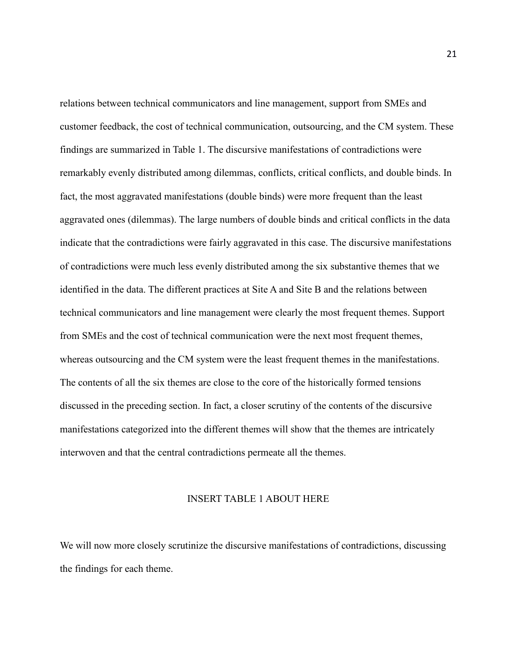relations between technical communicators and line management, support from SMEs and customer feedback, the cost of technical communication, outsourcing, and the CM system. These findings are summarized in Table 1. The discursive manifestations of contradictions were remarkably evenly distributed among dilemmas, conflicts, critical conflicts, and double binds. In fact, the most aggravated manifestations (double binds) were more frequent than the least aggravated ones (dilemmas). The large numbers of double binds and critical conflicts in the data indicate that the contradictions were fairly aggravated in this case. The discursive manifestations of contradictions were much less evenly distributed among the six substantive themes that we identified in the data. The different practices at Site A and Site B and the relations between technical communicators and line management were clearly the most frequent themes. Support from SMEs and the cost of technical communication were the next most frequent themes, whereas outsourcing and the CM system were the least frequent themes in the manifestations. The contents of all the six themes are close to the core of the historically formed tensions discussed in the preceding section. In fact, a closer scrutiny of the contents of the discursive manifestations categorized into the different themes will show that the themes are intricately interwoven and that the central contradictions permeate all the themes.

## INSERT TABLE 1 ABOUT HERE

We will now more closely scrutinize the discursive manifestations of contradictions, discussing the findings for each theme.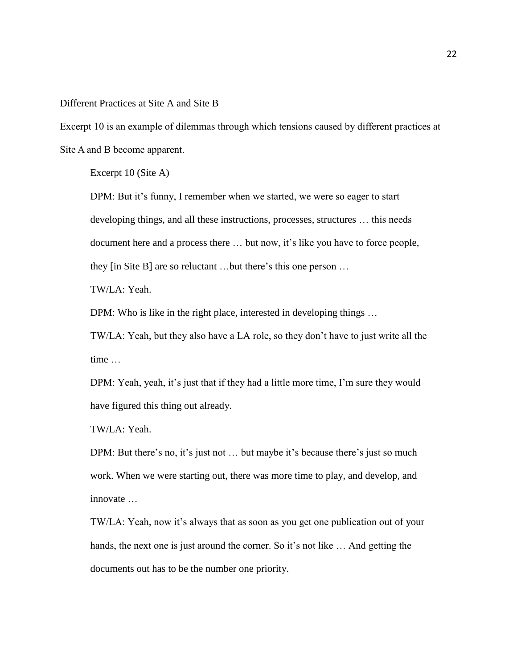Different Practices at Site A and Site B

Excerpt 10 is an example of dilemmas through which tensions caused by different practices at Site A and B become apparent.

Excerpt 10 (Site A)

DPM: But it's funny, I remember when we started, we were so eager to start developing things, and all these instructions, processes, structures … this needs document here and a process there … but now, it's like you have to force people, they [in Site B] are so reluctant …but there's this one person …

TW/LA: Yeah.

DPM: Who is like in the right place, interested in developing things ...

TW/LA: Yeah, but they also have a LA role, so they don't have to just write all the time …

DPM: Yeah, yeah, it's just that if they had a little more time, I'm sure they would have figured this thing out already.

TW/LA: Yeah.

DPM: But there's no, it's just not ... but maybe it's because there's just so much work. When we were starting out, there was more time to play, and develop, and innovate …

TW/LA: Yeah, now it's always that as soon as you get one publication out of your hands, the next one is just around the corner. So it's not like ... And getting the documents out has to be the number one priority.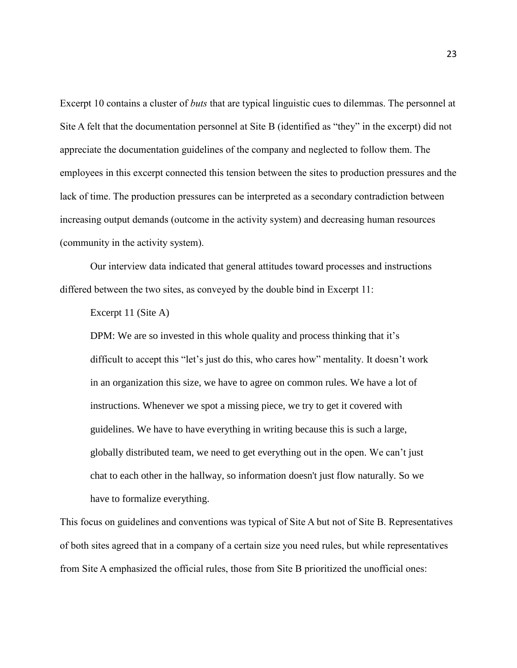Excerpt 10 contains a cluster of *buts* that are typical linguistic cues to dilemmas. The personnel at Site A felt that the documentation personnel at Site B (identified as "they" in the excerpt) did not appreciate the documentation guidelines of the company and neglected to follow them. The employees in this excerpt connected this tension between the sites to production pressures and the lack of time. The production pressures can be interpreted as a secondary contradiction between increasing output demands (outcome in the activity system) and decreasing human resources (community in the activity system).

Our interview data indicated that general attitudes toward processes and instructions differed between the two sites, as conveyed by the double bind in Excerpt 11:

Excerpt 11 (Site A)

DPM: We are so invested in this whole quality and process thinking that it's difficult to accept this "let's just do this, who cares how" mentality. It doesn't work in an organization this size, we have to agree on common rules. We have a lot of instructions. Whenever we spot a missing piece, we try to get it covered with guidelines. We have to have everything in writing because this is such a large, globally distributed team, we need to get everything out in the open. We can't just chat to each other in the hallway, so information doesn't just flow naturally. So we have to formalize everything.

This focus on guidelines and conventions was typical of Site A but not of Site B. Representatives of both sites agreed that in a company of a certain size you need rules, but while representatives from Site A emphasized the official rules, those from Site B prioritized the unofficial ones: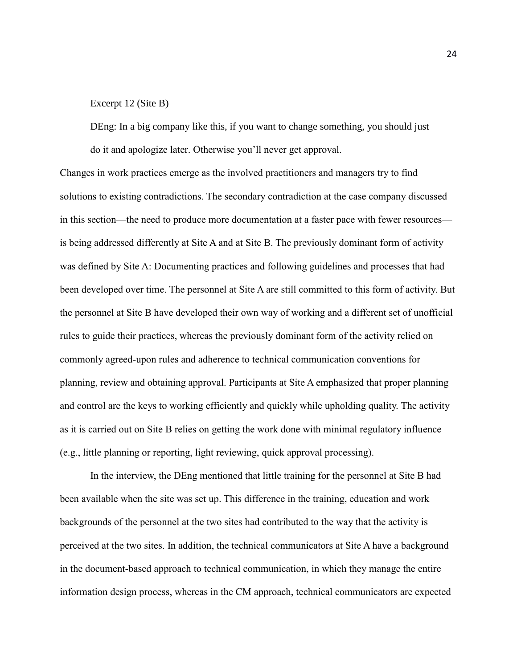#### Excerpt 12 (Site B)

DEng: In a big company like this, if you want to change something, you should just do it and apologize later. Otherwise you'll never get approval.

Changes in work practices emerge as the involved practitioners and managers try to find solutions to existing contradictions. The secondary contradiction at the case company discussed in this section—the need to produce more documentation at a faster pace with fewer resources is being addressed differently at Site A and at Site B. The previously dominant form of activity was defined by Site A: Documenting practices and following guidelines and processes that had been developed over time. The personnel at Site A are still committed to this form of activity. But the personnel at Site B have developed their own way of working and a different set of unofficial rules to guide their practices, whereas the previously dominant form of the activity relied on commonly agreed-upon rules and adherence to technical communication conventions for planning, review and obtaining approval. Participants at Site A emphasized that proper planning and control are the keys to working efficiently and quickly while upholding quality. The activity as it is carried out on Site B relies on getting the work done with minimal regulatory influence (e.g., little planning or reporting, light reviewing, quick approval processing).

In the interview, the DEng mentioned that little training for the personnel at Site B had been available when the site was set up. This difference in the training, education and work backgrounds of the personnel at the two sites had contributed to the way that the activity is perceived at the two sites. In addition, the technical communicators at Site A have a background in the document-based approach to technical communication, in which they manage the entire information design process, whereas in the CM approach, technical communicators are expected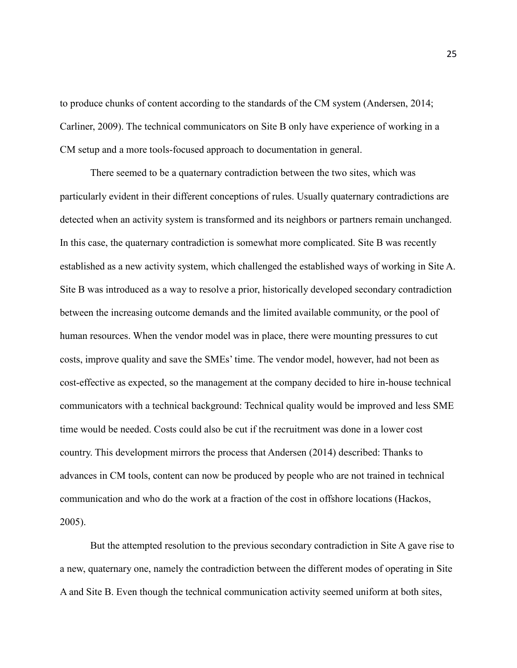to produce chunks of content according to the standards of the CM system (Andersen, 2014; Carliner, 2009). The technical communicators on Site B only have experience of working in a CM setup and a more tools-focused approach to documentation in general.

There seemed to be a quaternary contradiction between the two sites, which was particularly evident in their different conceptions of rules. Usually quaternary contradictions are detected when an activity system is transformed and its neighbors or partners remain unchanged. In this case, the quaternary contradiction is somewhat more complicated. Site B was recently established as a new activity system, which challenged the established ways of working in Site A. Site B was introduced as a way to resolve a prior, historically developed secondary contradiction between the increasing outcome demands and the limited available community, or the pool of human resources. When the vendor model was in place, there were mounting pressures to cut costs, improve quality and save the SMEs' time. The vendor model, however, had not been as cost-effective as expected, so the management at the company decided to hire in-house technical communicators with a technical background: Technical quality would be improved and less SME time would be needed. Costs could also be cut if the recruitment was done in a lower cost country. This development mirrors the process that Andersen (2014) described: Thanks to advances in CM tools, content can now be produced by people who are not trained in technical communication and who do the work at a fraction of the cost in offshore locations (Hackos, 2005).

But the attempted resolution to the previous secondary contradiction in Site A gave rise to a new, quaternary one, namely the contradiction between the different modes of operating in Site A and Site B. Even though the technical communication activity seemed uniform at both sites,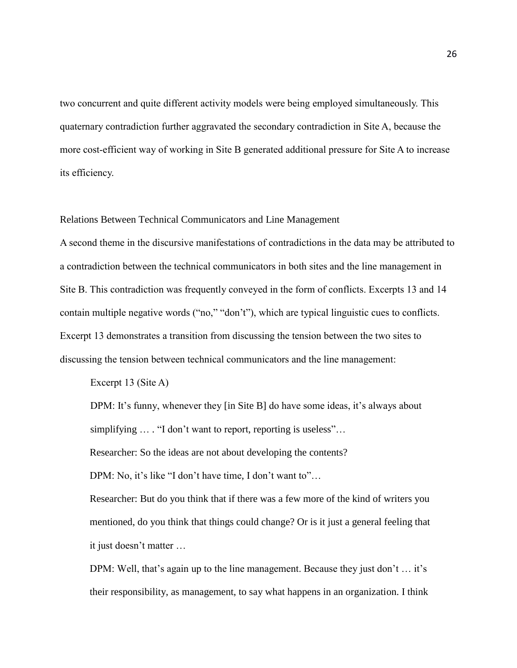two concurrent and quite different activity models were being employed simultaneously. This quaternary contradiction further aggravated the secondary contradiction in Site A, because the more cost-efficient way of working in Site B generated additional pressure for Site A to increase its efficiency.

Relations Between Technical Communicators and Line Management

A second theme in the discursive manifestations of contradictions in the data may be attributed to a contradiction between the technical communicators in both sites and the line management in Site B. This contradiction was frequently conveyed in the form of conflicts. Excerpts 13 and 14 contain multiple negative words ("no," "don't"), which are typical linguistic cues to conflicts. Excerpt 13 demonstrates a transition from discussing the tension between the two sites to discussing the tension between technical communicators and the line management:

Excerpt 13 (Site A)

DPM: It's funny, whenever they [in Site B] do have some ideas, it's always about simplifying  $\ldots$  "I don't want to report, reporting is useless"...

Researcher: So the ideas are not about developing the contents?

DPM: No, it's like "I don't have time, I don't want to"...

Researcher: But do you think that if there was a few more of the kind of writers you mentioned, do you think that things could change? Or is it just a general feeling that it just doesn't matter …

DPM: Well, that's again up to the line management. Because they just don't ... it's their responsibility, as management, to say what happens in an organization. I think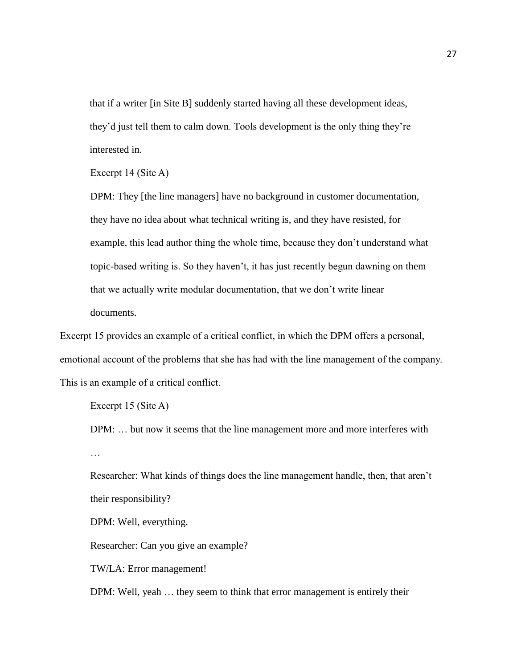that if a writer [in Site B] suddenly started having all these development ideas, they'd just tell them to calm down. Tools development is the only thing they're interested in.

Excerpt 14 (Site A)

DPM: They [the line managers] have no background in customer documentation, they have no idea about what technical writing is, and they have resisted, for example, this lead author thing the whole time, because they don't understand what topic-based writing is. So they haven't, it has just recently begun dawning on them that we actually write modular documentation, that we don't write linear documents.

Excerpt 15 provides an example of a critical conflict, in which the DPM offers a personal, emotional account of the problems that she has had with the line management of the company. This is an example of a critical conflict.

Excerpt 15 (Site A)

DPM: … but now it seems that the line management more and more interferes with …

Researcher: What kinds of things does the line management handle, then, that aren't their responsibility?

DPM: Well, everything.

Researcher: Can you give an example?

TW/LA: Error management!

DPM: Well, yeah … they seem to think that error management is entirely their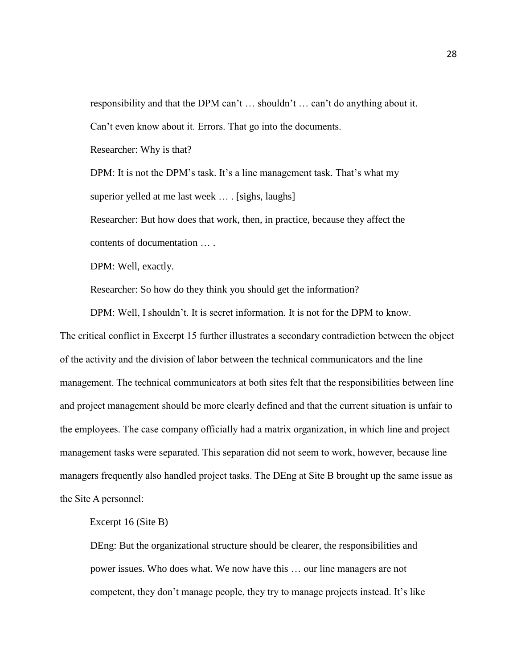responsibility and that the DPM can't … shouldn't … can't do anything about it. Can't even know about it. Errors. That go into the documents.

Researcher: Why is that?

DPM: It is not the DPM's task. It's a line management task. That's what my superior yelled at me last week ... . [sighs, laughs]

Researcher: But how does that work, then, in practice, because they affect the contents of documentation … .

DPM: Well, exactly.

Researcher: So how do they think you should get the information?

DPM: Well, I shouldn't. It is secret information. It is not for the DPM to know. The critical conflict in Excerpt 15 further illustrates a secondary contradiction between the object of the activity and the division of labor between the technical communicators and the line management. The technical communicators at both sites felt that the responsibilities between line and project management should be more clearly defined and that the current situation is unfair to the employees. The case company officially had a matrix organization, in which line and project management tasks were separated. This separation did not seem to work, however, because line managers frequently also handled project tasks. The DEng at Site B brought up the same issue as the Site A personnel:

Excerpt 16 (Site B)

DEng: But the organizational structure should be clearer, the responsibilities and power issues. Who does what. We now have this … our line managers are not competent, they don't manage people, they try to manage projects instead. It's like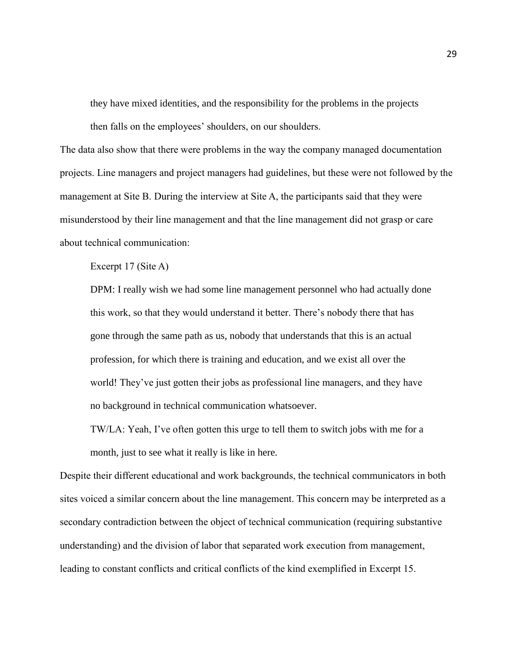they have mixed identities, and the responsibility for the problems in the projects then falls on the employees' shoulders, on our shoulders.

The data also show that there were problems in the way the company managed documentation projects. Line managers and project managers had guidelines, but these were not followed by the management at Site B. During the interview at Site A, the participants said that they were misunderstood by their line management and that the line management did not grasp or care about technical communication:

Excerpt 17 (Site A)

DPM: I really wish we had some line management personnel who had actually done this work, so that they would understand it better. There's nobody there that has gone through the same path as us, nobody that understands that this is an actual profession, for which there is training and education, and we exist all over the world! They've just gotten their jobs as professional line managers, and they have no background in technical communication whatsoever.

TW/LA: Yeah, I've often gotten this urge to tell them to switch jobs with me for a month, just to see what it really is like in here.

Despite their different educational and work backgrounds, the technical communicators in both sites voiced a similar concern about the line management. This concern may be interpreted as a secondary contradiction between the object of technical communication (requiring substantive understanding) and the division of labor that separated work execution from management, leading to constant conflicts and critical conflicts of the kind exemplified in Excerpt 15.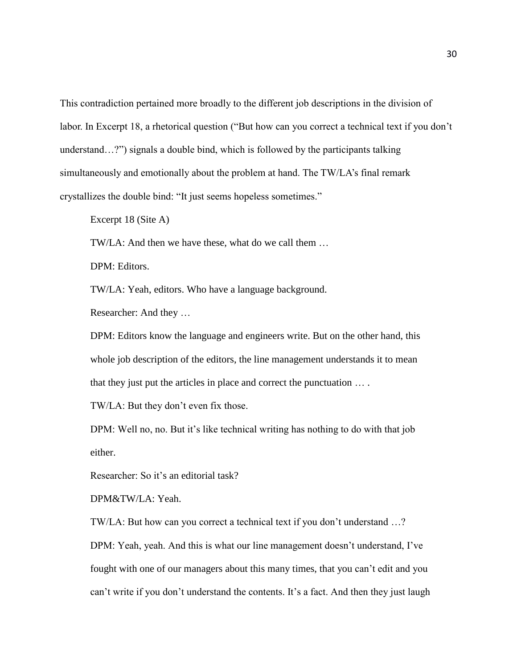This contradiction pertained more broadly to the different job descriptions in the division of labor. In Excerpt 18, a rhetorical question ("But how can you correct a technical text if you don't understand…?") signals a double bind, which is followed by the participants talking simultaneously and emotionally about the problem at hand. The TW/LA's final remark crystallizes the double bind: "It just seems hopeless sometimes."

Excerpt 18 (Site A)

TW/LA: And then we have these, what do we call them …

DPM: Editors.

TW/LA: Yeah, editors. Who have a language background.

Researcher: And they …

DPM: Editors know the language and engineers write. But on the other hand, this whole job description of the editors, the line management understands it to mean that they just put the articles in place and correct the punctuation … .

TW/LA: But they don't even fix those.

DPM: Well no, no. But it's like technical writing has nothing to do with that job either.

Researcher: So it's an editorial task?

DPM&TW/LA: Yeah.

TW/LA: But how can you correct a technical text if you don't understand …?

DPM: Yeah, yeah. And this is what our line management doesn't understand, I've fought with one of our managers about this many times, that you can't edit and you can't write if you don't understand the contents. It's a fact. And then they just laugh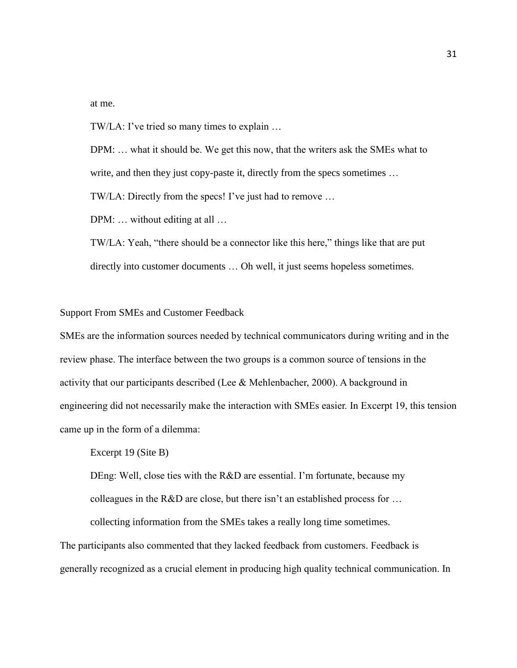at me.

TW/LA: I've tried so many times to explain …

DPM: … what it should be. We get this now, that the writers ask the SMEs what to write, and then they just copy-paste it, directly from the specs sometimes ...

TW/LA: Directly from the specs! I've just had to remove …

DPM: ... without editing at all ...

TW/LA: Yeah, "there should be a connector like this here," things like that are put directly into customer documents … Oh well, it just seems hopeless sometimes.

# Support From SMEs and Customer Feedback

SMEs are the information sources needed by technical communicators during writing and in the review phase. The interface between the two groups is a common source of tensions in the activity that our participants described (Lee & Mehlenbacher, 2000). A background in engineering did not necessarily make the interaction with SMEs easier. In Excerpt 19, this tension came up in the form of a dilemma:

Excerpt 19 (Site B)

DEng: Well, close ties with the R&D are essential. I'm fortunate, because my colleagues in the R&D are close, but there isn't an established process for … collecting information from the SMEs takes a really long time sometimes.

The participants also commented that they lacked feedback from customers. Feedback is generally recognized as a crucial element in producing high quality technical communication. In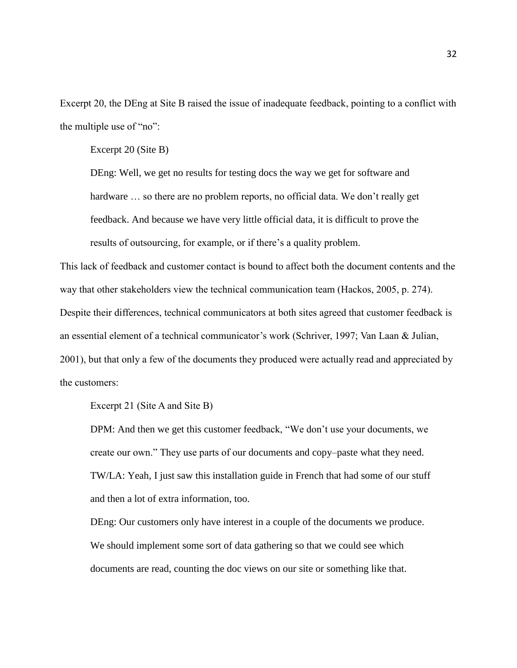Excerpt 20, the DEng at Site B raised the issue of inadequate feedback, pointing to a conflict with the multiple use of "no":

Excerpt 20 (Site B)

DEng: Well, we get no results for testing docs the way we get for software and hardware  $\ldots$  so there are no problem reports, no official data. We don't really get feedback. And because we have very little official data, it is difficult to prove the results of outsourcing, for example, or if there's a quality problem.

This lack of feedback and customer contact is bound to affect both the document contents and the way that other stakeholders view the technical communication team (Hackos, 2005, p. 274). Despite their differences, technical communicators at both sites agreed that customer feedback is an essential element of a technical communicator's work (Schriver, 1997; Van Laan & Julian, 2001), but that only a few of the documents they produced were actually read and appreciated by the customers:

Excerpt 21 (Site A and Site B)

DPM: And then we get this customer feedback, "We don't use your documents, we create our own." They use parts of our documents and copy–paste what they need. TW/LA: Yeah, I just saw this installation guide in French that had some of our stuff and then a lot of extra information, too.

DEng: Our customers only have interest in a couple of the documents we produce. We should implement some sort of data gathering so that we could see which documents are read, counting the doc views on our site or something like that.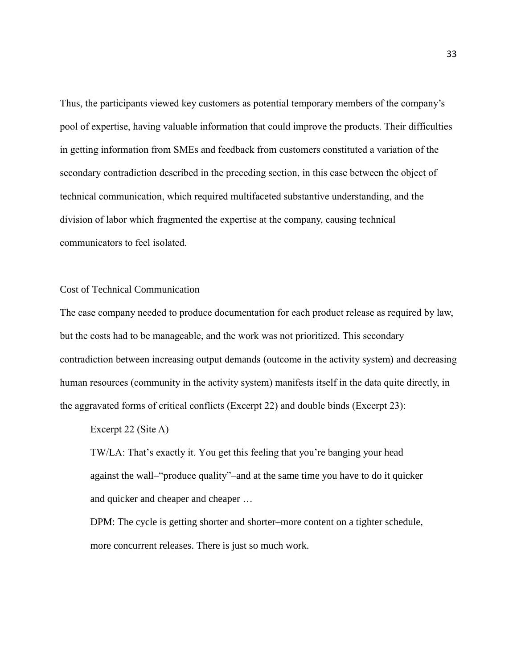Thus, the participants viewed key customers as potential temporary members of the company's pool of expertise, having valuable information that could improve the products. Their difficulties in getting information from SMEs and feedback from customers constituted a variation of the secondary contradiction described in the preceding section, in this case between the object of technical communication, which required multifaceted substantive understanding, and the division of labor which fragmented the expertise at the company, causing technical communicators to feel isolated.

Cost of Technical Communication

The case company needed to produce documentation for each product release as required by law, but the costs had to be manageable, and the work was not prioritized. This secondary contradiction between increasing output demands (outcome in the activity system) and decreasing human resources (community in the activity system) manifests itself in the data quite directly, in the aggravated forms of critical conflicts (Excerpt 22) and double binds (Excerpt 23):

Excerpt 22 (Site A)

TW/LA: That's exactly it. You get this feeling that you're banging your head against the wall–"produce quality"–and at the same time you have to do it quicker and quicker and cheaper and cheaper …

DPM: The cycle is getting shorter and shorter–more content on a tighter schedule, more concurrent releases. There is just so much work.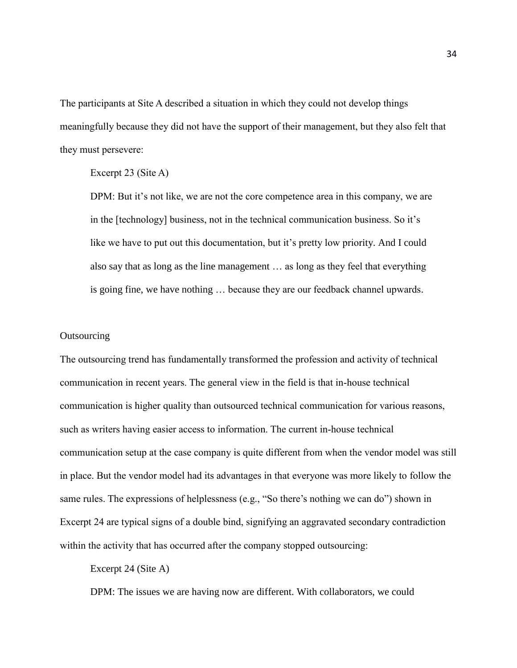The participants at Site A described a situation in which they could not develop things meaningfully because they did not have the support of their management, but they also felt that they must persevere:

## Excerpt 23 (Site A)

DPM: But it's not like, we are not the core competence area in this company, we are in the [technology] business, not in the technical communication business. So it's like we have to put out this documentation, but it's pretty low priority. And I could also say that as long as the line management … as long as they feel that everything is going fine, we have nothing … because they are our feedback channel upwards.

# **Outsourcing**

The outsourcing trend has fundamentally transformed the profession and activity of technical communication in recent years. The general view in the field is that in-house technical communication is higher quality than outsourced technical communication for various reasons, such as writers having easier access to information. The current in-house technical communication setup at the case company is quite different from when the vendor model was still in place. But the vendor model had its advantages in that everyone was more likely to follow the same rules. The expressions of helplessness (e.g., "So there's nothing we can do") shown in Excerpt 24 are typical signs of a double bind, signifying an aggravated secondary contradiction within the activity that has occurred after the company stopped outsourcing:

# Excerpt 24 (Site A)

DPM: The issues we are having now are different. With collaborators, we could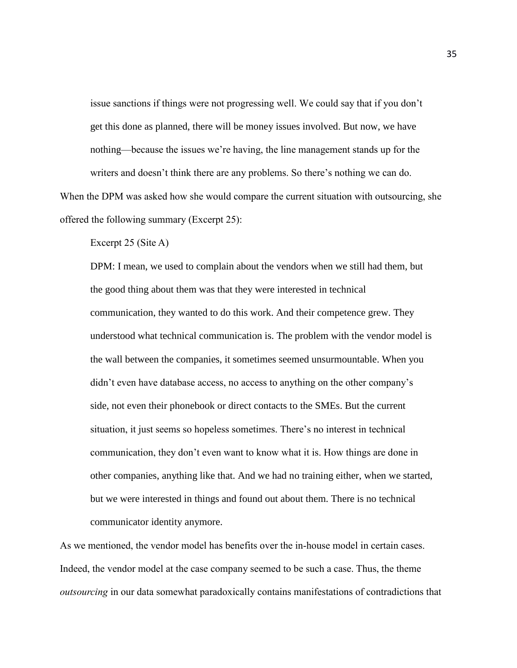issue sanctions if things were not progressing well. We could say that if you don't get this done as planned, there will be money issues involved. But now, we have nothing—because the issues we're having, the line management stands up for the writers and doesn't think there are any problems. So there's nothing we can do. When the DPM was asked how she would compare the current situation with outsourcing, she

offered the following summary (Excerpt 25):

Excerpt 25 (Site A)

DPM: I mean, we used to complain about the vendors when we still had them, but the good thing about them was that they were interested in technical communication, they wanted to do this work. And their competence grew. They understood what technical communication is. The problem with the vendor model is the wall between the companies, it sometimes seemed unsurmountable. When you didn't even have database access, no access to anything on the other company's side, not even their phonebook or direct contacts to the SMEs. But the current situation, it just seems so hopeless sometimes. There's no interest in technical communication, they don't even want to know what it is. How things are done in other companies, anything like that. And we had no training either, when we started, but we were interested in things and found out about them. There is no technical communicator identity anymore.

As we mentioned, the vendor model has benefits over the in-house model in certain cases. Indeed, the vendor model at the case company seemed to be such a case. Thus, the theme *outsourcing* in our data somewhat paradoxically contains manifestations of contradictions that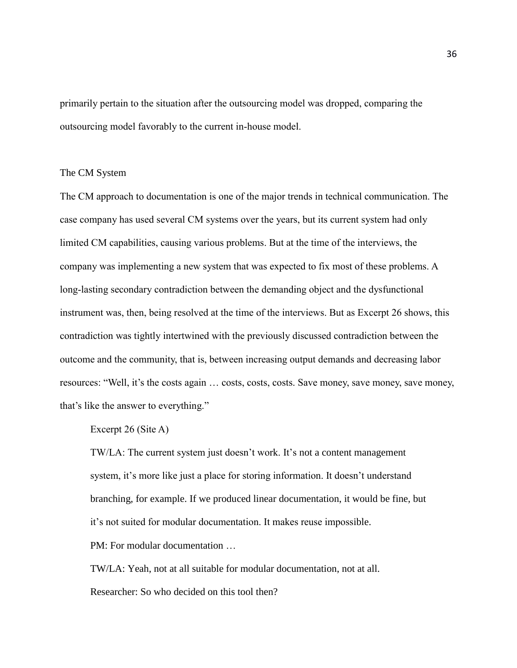primarily pertain to the situation after the outsourcing model was dropped, comparing the outsourcing model favorably to the current in-house model.

## The CM System

The CM approach to documentation is one of the major trends in technical communication. The case company has used several CM systems over the years, but its current system had only limited CM capabilities, causing various problems. But at the time of the interviews, the company was implementing a new system that was expected to fix most of these problems. A long-lasting secondary contradiction between the demanding object and the dysfunctional instrument was, then, being resolved at the time of the interviews. But as Excerpt 26 shows, this contradiction was tightly intertwined with the previously discussed contradiction between the outcome and the community, that is, between increasing output demands and decreasing labor resources: "Well, it's the costs again … costs, costs, costs. Save money, save money, save money, that's like the answer to everything."

# Excerpt 26 (Site A)

TW/LA: The current system just doesn't work. It's not a content management system, it's more like just a place for storing information. It doesn't understand branching, for example. If we produced linear documentation, it would be fine, but it's not suited for modular documentation. It makes reuse impossible.

PM: For modular documentation …

TW/LA: Yeah, not at all suitable for modular documentation, not at all. Researcher: So who decided on this tool then?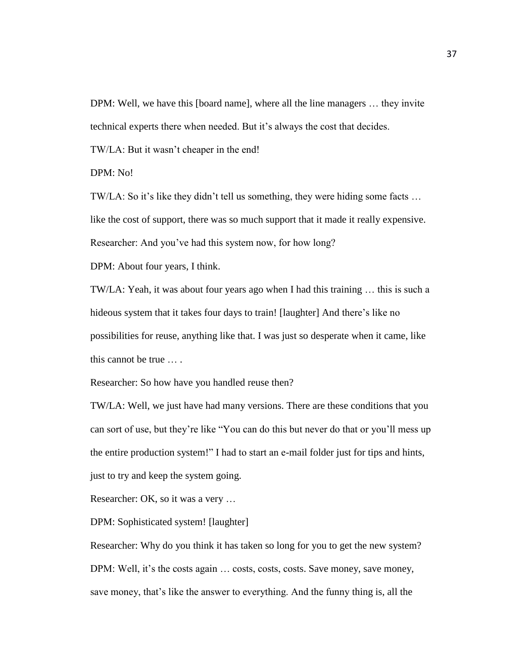DPM: Well, we have this [board name], where all the line managers … they invite technical experts there when needed. But it's always the cost that decides.

TW/LA: But it wasn't cheaper in the end!

DPM: No!

TW/LA: So it's like they didn't tell us something, they were hiding some facts … like the cost of support, there was so much support that it made it really expensive. Researcher: And you've had this system now, for how long?

DPM: About four years, I think.

TW/LA: Yeah, it was about four years ago when I had this training … this is such a hideous system that it takes four days to train! [laughter] And there's like no possibilities for reuse, anything like that. I was just so desperate when it came, like this cannot be true … .

Researcher: So how have you handled reuse then?

TW/LA: Well, we just have had many versions. There are these conditions that you can sort of use, but they're like "You can do this but never do that or you'll mess up the entire production system!" I had to start an e-mail folder just for tips and hints, just to try and keep the system going.

Researcher: OK, so it was a very …

DPM: Sophisticated system! [laughter]

Researcher: Why do you think it has taken so long for you to get the new system? DPM: Well, it's the costs again ... costs, costs, costs. Save money, save money, save money, that's like the answer to everything. And the funny thing is, all the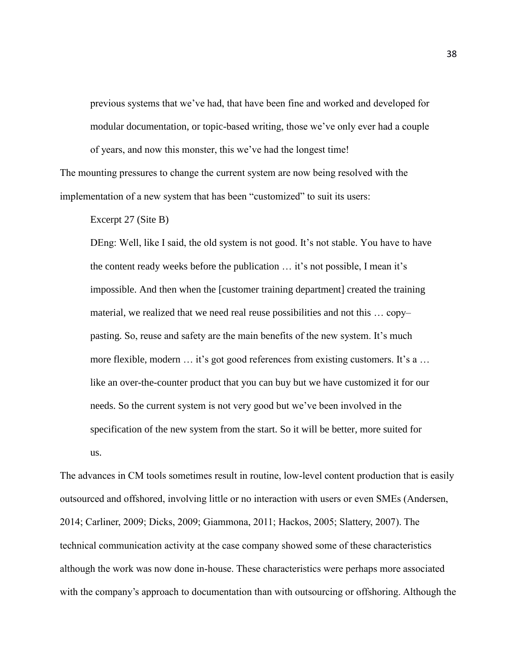previous systems that we've had, that have been fine and worked and developed for modular documentation, or topic-based writing, those we've only ever had a couple of years, and now this monster, this we've had the longest time!

The mounting pressures to change the current system are now being resolved with the implementation of a new system that has been "customized" to suit its users:

Excerpt 27 (Site B)

DEng: Well, like I said, the old system is not good. It's not stable. You have to have the content ready weeks before the publication … it's not possible, I mean it's impossible. And then when the [customer training department] created the training material, we realized that we need real reuse possibilities and not this … copy– pasting. So, reuse and safety are the main benefits of the new system. It's much more flexible, modern ... it's got good references from existing customers. It's a ... like an over-the-counter product that you can buy but we have customized it for our needs. So the current system is not very good but we've been involved in the specification of the new system from the start. So it will be better, more suited for us.

The advances in CM tools sometimes result in routine, low-level content production that is easily outsourced and offshored, involving little or no interaction with users or even SMEs (Andersen, 2014; Carliner, 2009; Dicks, 2009; Giammona, 2011; Hackos, 2005; Slattery, 2007). The technical communication activity at the case company showed some of these characteristics although the work was now done in-house. These characteristics were perhaps more associated with the company's approach to documentation than with outsourcing or offshoring. Although the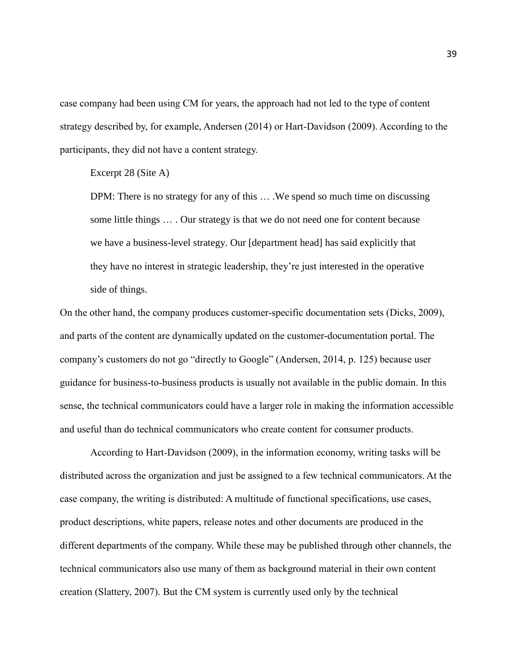case company had been using CM for years, the approach had not led to the type of content strategy described by, for example, Andersen (2014) or Hart-Davidson (2009). According to the participants, they did not have a content strategy.

Excerpt 28 (Site A)

DPM: There is no strategy for any of this … .We spend so much time on discussing some little things … . Our strategy is that we do not need one for content because we have a business-level strategy. Our [department head] has said explicitly that they have no interest in strategic leadership, they're just interested in the operative side of things.

On the other hand, the company produces customer-specific documentation sets (Dicks, 2009), and parts of the content are dynamically updated on the customer-documentation portal. The company's customers do not go "directly to Google" (Andersen, 2014, p. 125) because user guidance for business-to-business products is usually not available in the public domain. In this sense, the technical communicators could have a larger role in making the information accessible and useful than do technical communicators who create content for consumer products.

According to Hart-Davidson (2009), in the information economy, writing tasks will be distributed across the organization and just be assigned to a few technical communicators. At the case company, the writing is distributed: A multitude of functional specifications, use cases, product descriptions, white papers, release notes and other documents are produced in the different departments of the company. While these may be published through other channels, the technical communicators also use many of them as background material in their own content creation (Slattery, 2007). But the CM system is currently used only by the technical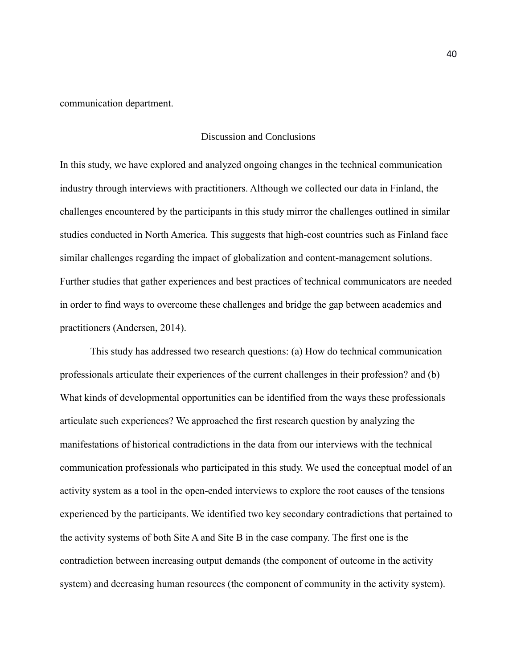communication department.

## Discussion and Conclusions

In this study, we have explored and analyzed ongoing changes in the technical communication industry through interviews with practitioners. Although we collected our data in Finland, the challenges encountered by the participants in this study mirror the challenges outlined in similar studies conducted in North America. This suggests that high-cost countries such as Finland face similar challenges regarding the impact of globalization and content-management solutions. Further studies that gather experiences and best practices of technical communicators are needed in order to find ways to overcome these challenges and bridge the gap between academics and practitioners (Andersen, 2014).

This study has addressed two research questions: (a) How do technical communication professionals articulate their experiences of the current challenges in their profession? and (b) What kinds of developmental opportunities can be identified from the ways these professionals articulate such experiences? We approached the first research question by analyzing the manifestations of historical contradictions in the data from our interviews with the technical communication professionals who participated in this study. We used the conceptual model of an activity system as a tool in the open-ended interviews to explore the root causes of the tensions experienced by the participants. We identified two key secondary contradictions that pertained to the activity systems of both Site A and Site B in the case company. The first one is the contradiction between increasing output demands (the component of outcome in the activity system) and decreasing human resources (the component of community in the activity system).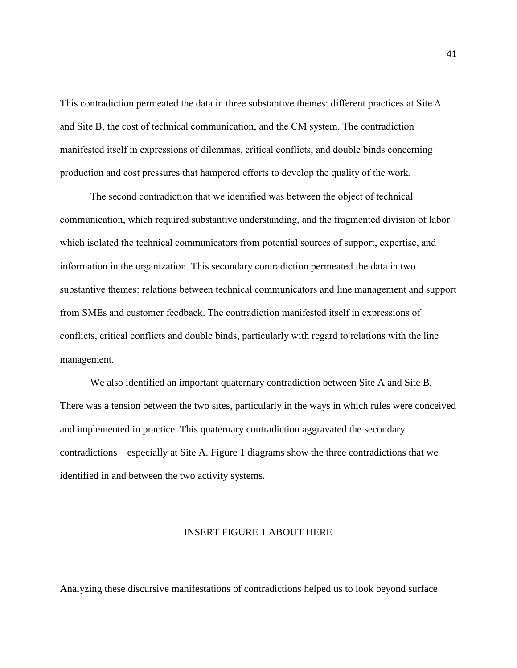This contradiction permeated the data in three substantive themes: different practices at Site A and Site B, the cost of technical communication, and the CM system. The contradiction manifested itself in expressions of dilemmas, critical conflicts, and double binds concerning production and cost pressures that hampered efforts to develop the quality of the work.

The second contradiction that we identified was between the object of technical communication, which required substantive understanding, and the fragmented division of labor which isolated the technical communicators from potential sources of support, expertise, and information in the organization. This secondary contradiction permeated the data in two substantive themes: relations between technical communicators and line management and support from SMEs and customer feedback. The contradiction manifested itself in expressions of conflicts, critical conflicts and double binds, particularly with regard to relations with the line management.

We also identified an important quaternary contradiction between Site A and Site B. There was a tension between the two sites, particularly in the ways in which rules were conceived and implemented in practice. This quaternary contradiction aggravated the secondary contradictions—especially at Site A. Figure 1 diagrams show the three contradictions that we identified in and between the two activity systems.

#### INSERT FIGURE 1 ABOUT HERE

Analyzing these discursive manifestations of contradictions helped us to look beyond surface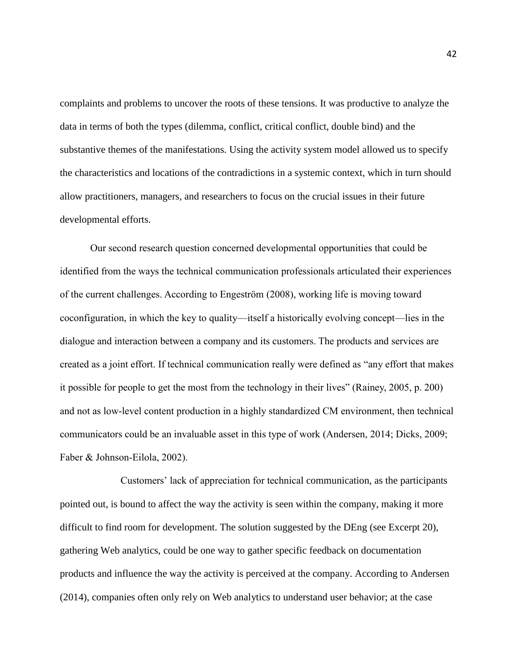complaints and problems to uncover the roots of these tensions. It was productive to analyze the data in terms of both the types (dilemma, conflict, critical conflict, double bind) and the substantive themes of the manifestations. Using the activity system model allowed us to specify the characteristics and locations of the contradictions in a systemic context, which in turn should allow practitioners, managers, and researchers to focus on the crucial issues in their future developmental efforts.

Our second research question concerned developmental opportunities that could be identified from the ways the technical communication professionals articulated their experiences of the current challenges. According to Engeström (2008), working life is moving toward coconfiguration, in which the key to quality—itself a historically evolving concept—lies in the dialogue and interaction between a company and its customers. The products and services are created as a joint effort. If technical communication really were defined as "any effort that makes it possible for people to get the most from the technology in their lives" (Rainey, 2005, p. 200) and not as low-level content production in a highly standardized CM environment, then technical communicators could be an invaluable asset in this type of work (Andersen, 2014; Dicks, 2009; Faber & Johnson-Eilola, 2002).

Customers' lack of appreciation for technical communication, as the participants pointed out, is bound to affect the way the activity is seen within the company, making it more difficult to find room for development. The solution suggested by the DEng (see Excerpt 20), gathering Web analytics, could be one way to gather specific feedback on documentation products and influence the way the activity is perceived at the company. According to Andersen (2014), companies often only rely on Web analytics to understand user behavior; at the case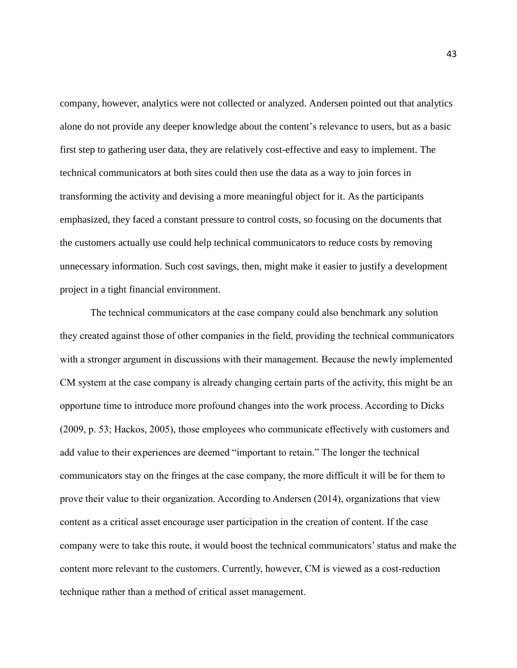company, however, analytics were not collected or analyzed. Andersen pointed out that analytics alone do not provide any deeper knowledge about the content's relevance to users, but as a basic first step to gathering user data, they are relatively cost-effective and easy to implement. The technical communicators at both sites could then use the data as a way to join forces in transforming the activity and devising a more meaningful object for it. As the participants emphasized, they faced a constant pressure to control costs, so focusing on the documents that the customers actually use could help technical communicators to reduce costs by removing unnecessary information. Such cost savings, then, might make it easier to justify a development project in a tight financial environment.

The technical communicators at the case company could also benchmark any solution they created against those of other companies in the field, providing the technical communicators with a stronger argument in discussions with their management. Because the newly implemented CM system at the case company is already changing certain parts of the activity, this might be an opportune time to introduce more profound changes into the work process. According to Dicks (2009, p. 53; Hackos, 2005), those employees who communicate effectively with customers and add value to their experiences are deemed "important to retain." The longer the technical communicators stay on the fringes at the case company, the more difficult it will be for them to prove their value to their organization. According to Andersen (2014), organizations that view content as a critical asset encourage user participation in the creation of content. If the case company were to take this route, it would boost the technical communicators'status and make the content more relevant to the customers. Currently, however, CM is viewed as a cost-reduction technique rather than a method of critical asset management.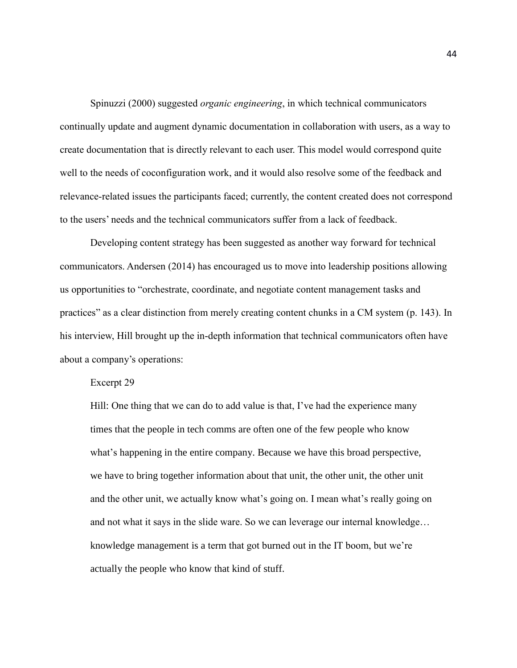Spinuzzi (2000) suggested *organic engineering*, in which technical communicators continually update and augment dynamic documentation in collaboration with users, as a way to create documentation that is directly relevant to each user. This model would correspond quite well to the needs of coconfiguration work, and it would also resolve some of the feedback and relevance-related issues the participants faced; currently, the content created does not correspond to the users' needs and the technical communicators suffer from a lack of feedback.

Developing content strategy has been suggested as another way forward for technical communicators. Andersen (2014) has encouraged us to move into leadership positions allowing us opportunities to "orchestrate, coordinate, and negotiate content management tasks and practices" as a clear distinction from merely creating content chunks in a CM system (p. 143). In his interview, Hill brought up the in-depth information that technical communicators often have about a company's operations:

#### Excerpt 29

Hill: One thing that we can do to add value is that, I've had the experience many times that the people in tech comms are often one of the few people who know what's happening in the entire company. Because we have this broad perspective, we have to bring together information about that unit, the other unit, the other unit and the other unit, we actually know what's going on. I mean what's really going on and not what it says in the slide ware. So we can leverage our internal knowledge… knowledge management is a term that got burned out in the IT boom, but we're actually the people who know that kind of stuff.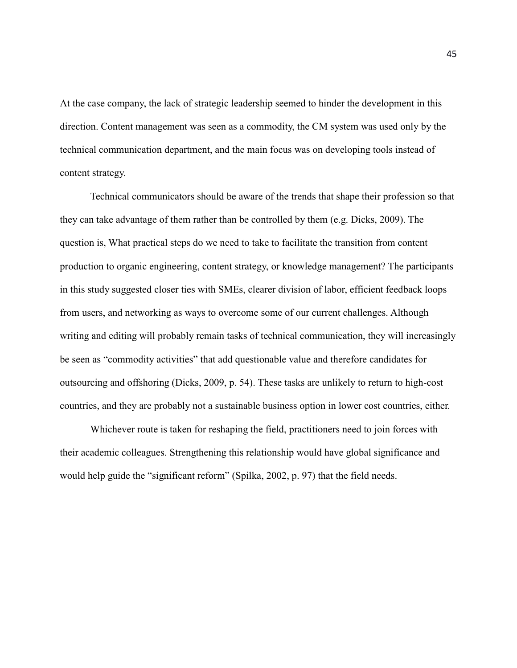At the case company, the lack of strategic leadership seemed to hinder the development in this direction. Content management was seen as a commodity, the CM system was used only by the technical communication department, and the main focus was on developing tools instead of content strategy.

Technical communicators should be aware of the trends that shape their profession so that they can take advantage of them rather than be controlled by them (e.g. Dicks, 2009). The question is, What practical steps do we need to take to facilitate the transition from content production to organic engineering, content strategy, or knowledge management? The participants in this study suggested closer ties with SMEs, clearer division of labor, efficient feedback loops from users, and networking as ways to overcome some of our current challenges. Although writing and editing will probably remain tasks of technical communication, they will increasingly be seen as "commodity activities" that add questionable value and therefore candidates for outsourcing and offshoring (Dicks, 2009, p. 54). These tasks are unlikely to return to high-cost countries, and they are probably not a sustainable business option in lower cost countries, either.

Whichever route is taken for reshaping the field, practitioners need to join forces with their academic colleagues. Strengthening this relationship would have global significance and would help guide the "significant reform" (Spilka, 2002, p. 97) that the field needs.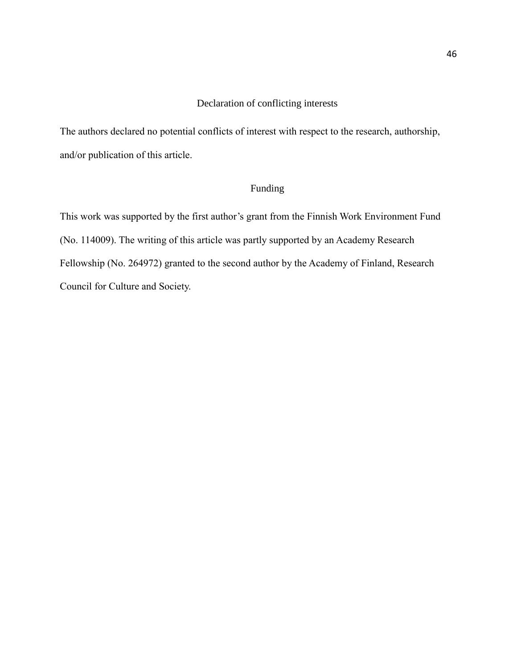# Declaration of conflicting interests

The authors declared no potential conflicts of interest with respect to the research, authorship, and/or publication of this article.

# Funding

This work was supported by the first author's grant from the Finnish Work Environment Fund (No. 114009). The writing of this article was partly supported by an Academy Research Fellowship (No. 264972) granted to the second author by the Academy of Finland, Research Council for Culture and Society.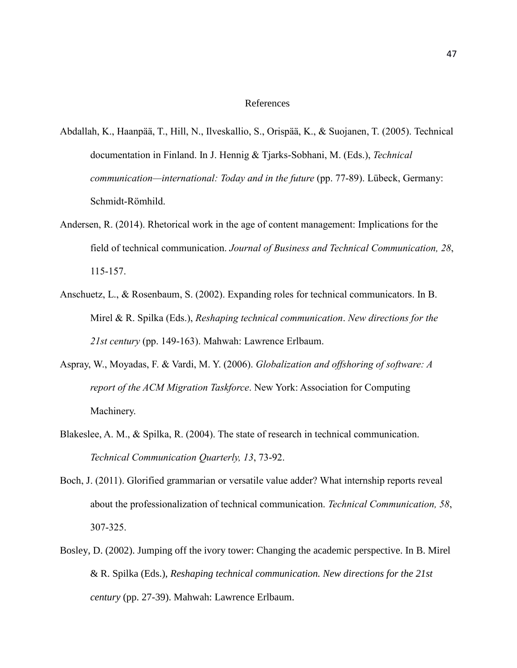#### References

- Abdallah, K., Haanpää, T., Hill, N., Ilveskallio, S., Orispää, K., & Suojanen, T. (2005). Technical documentation in Finland. In J. Hennig & Tjarks-Sobhani, M. (Eds.), *Technical communication—international: Today and in the future* (pp. 77-89). Lübeck, Germany: Schmidt-Römhild.
- Andersen, R. (2014). Rhetorical work in the age of content management: Implications for the field of technical communication. *Journal of Business and Technical Communication, 28*, 115-157.
- Anschuetz, L., & Rosenbaum, S. (2002). Expanding roles for technical communicators. In B. Mirel & R. Spilka (Eds.), *Reshaping technical communication*. *New directions for the 21st century* (pp. 149-163). Mahwah: Lawrence Erlbaum.
- Aspray, W., Moyadas, F. & Vardi, M. Y. (2006). *Globalization and offshoring of software: A report of the ACM Migration Taskforce*. New York: Association for Computing Machinery.
- Blakeslee, A. M., & Spilka, R. (2004). The state of research in technical communication. *Technical Communication Quarterly, 13*, 73-92.
- Boch, J. (2011). Glorified grammarian or versatile value adder? What internship reports reveal about the professionalization of technical communication. *Technical Communication, 58*, 307-325.
- Bosley, D. (2002). Jumping off the ivory tower: Changing the academic perspective. In B. Mirel & R. Spilka (Eds.), *Reshaping technical communication. New directions for the 21st century* (pp. 27-39). Mahwah: Lawrence Erlbaum.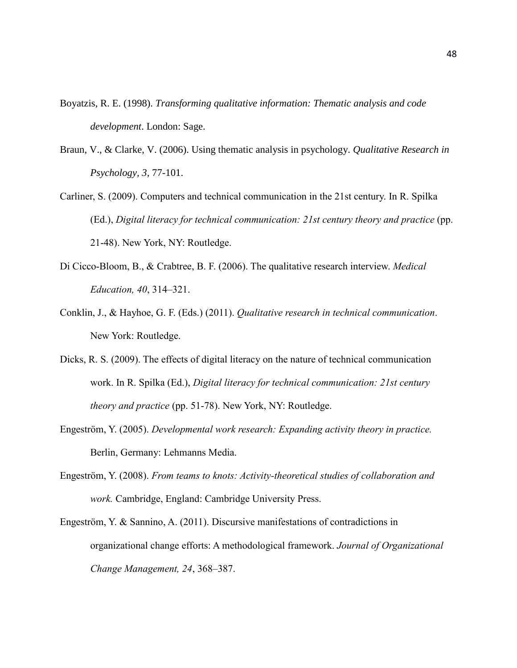- Boyatzis, R. E. (1998). *Transforming qualitative information: Thematic analysis and code development*. London: Sage.
- Braun, V., & Clarke, V. (2006). Using thematic analysis in psychology. *Qualitative Research in Psychology, 3,* 77-101.
- Carliner, S. (2009). Computers and technical communication in the 21st century. In R. Spilka (Ed.), *Digital literacy for technical communication: 21st century theory and practice* (pp. 21-48). New York, NY: Routledge.
- Di Cicco-Bloom, B., & Crabtree, B. F. (2006). The qualitative research interview. *Medical Education, 40*, 314–321.
- Conklin, J., & Hayhoe, G. F. (Eds.) (2011). *Qualitative research in technical communication*. New York: Routledge.
- Dicks, R. S. (2009). The effects of digital literacy on the nature of technical communication work. In R. Spilka (Ed.), *Digital literacy for technical communication: 21st century theory and practice* (pp. 51-78). New York, NY: Routledge.
- Engeström, Y. (2005). *Developmental work research: Expanding activity theory in practice.* Berlin, Germany: Lehmanns Media.
- Engeström, Y. (2008). *From teams to knots: Activity-theoretical studies of collaboration and work.* Cambridge, England: Cambridge University Press.
- Engeström, Y. & Sannino, A. (2011). Discursive manifestations of contradictions in organizational change efforts: A methodological framework. *Journal of Organizational Change Management, 24*, 368–387.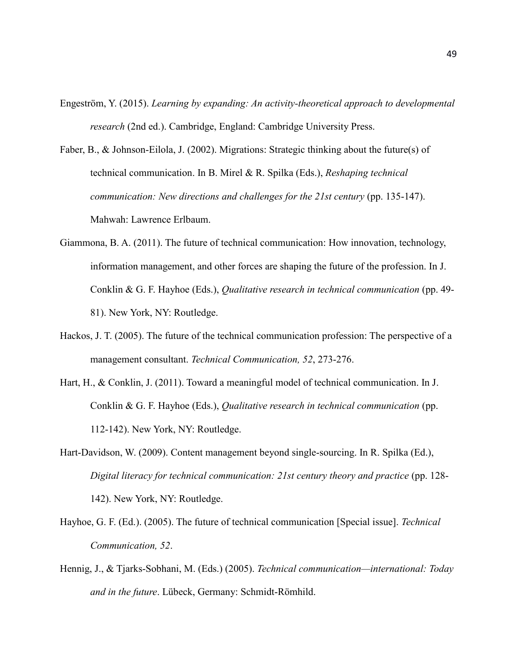- Engeström, Y. (2015). *Learning by expanding: An activity-theoretical approach to developmental research* (2nd ed.). Cambridge, England: Cambridge University Press.
- Faber, B., & Johnson-Eilola, J. (2002). Migrations: Strategic thinking about the future(s) of technical communication. In B. Mirel & R. Spilka (Eds.), *Reshaping technical communication: New directions and challenges for the 21st century* (pp. 135-147). Mahwah: Lawrence Erlbaum.
- Giammona, B. A. (2011). The future of technical communication: How innovation, technology, information management, and other forces are shaping the future of the profession. In J. Conklin & G. F. Hayhoe (Eds.), *Qualitative research in technical communication* (pp. 49- 81). New York, NY: Routledge.
- Hackos, J. T. (2005). The future of the technical communication profession: The perspective of a management consultant. *Technical Communication, 52*, 273-276.
- Hart, H., & Conklin, J. (2011). Toward a meaningful model of technical communication. In J. Conklin & G. F. Hayhoe (Eds.), *Qualitative research in technical communication* (pp. 112-142). New York, NY: Routledge.
- Hart-Davidson, W. (2009). Content management beyond single-sourcing. In R. Spilka (Ed.), *Digital literacy for technical communication: 21st century theory and practice* (pp. 128- 142). New York, NY: Routledge.
- Hayhoe, G. F. (Ed.). (2005). The future of technical communication [Special issue]. *Technical Communication, 52*.
- Hennig, J., & Tjarks-Sobhani, M. (Eds.) (2005). *Technical communication—international: Today and in the future*. Lübeck, Germany: Schmidt-Römhild.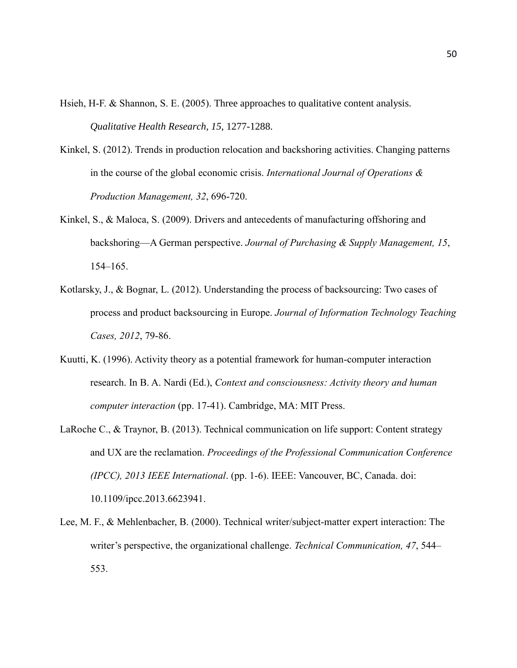Hsieh, H-F. & Shannon, S. E. (2005). Three approaches to qualitative content analysis. *Qualitative Health Research, 15*, 1277-1288.

- Kinkel, S. (2012). Trends in production relocation and backshoring activities. Changing patterns in the course of the global economic crisis. *International Journal of Operations & Production Management, 32*, 696-720.
- Kinkel, S., & Maloca, S. (2009). Drivers and antecedents of manufacturing offshoring and backshoring—A German perspective. *Journal of Purchasing & Supply Management, 15*, 154–165.
- Kotlarsky, J., & Bognar, L. (2012). Understanding the process of backsourcing: Two cases of process and product backsourcing in Europe. *Journal of Information Technology Teaching Cases, 2012*, 79-86.
- Kuutti, K. (1996). Activity theory as a potential framework for human-computer interaction research. In B. A. Nardi (Ed.), *Context and consciousness: Activity theory and human computer interaction* (pp. 17-41). Cambridge, MA: MIT Press.
- LaRoche C., & Traynor, B. (2013). Technical communication on life support: Content strategy and UX are the reclamation. *Proceedings of the Professional Communication Conference (IPCC), 2013 IEEE International*. (pp. 1-6). IEEE: Vancouver, BC, Canada. doi: 10.1109/ipcc.2013.6623941.
- Lee, M. F., & Mehlenbacher, B. (2000). Technical writer/subject-matter expert interaction: The writer's perspective, the organizational challenge. *Technical Communication, 47*, 544– 553.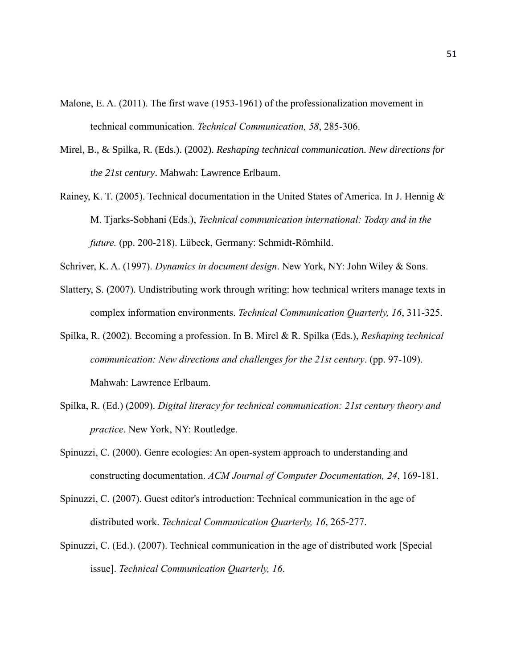- Malone, E. A. (2011). The first wave (1953-1961) of the professionalization movement in technical communication. *Technical Communication, 58*, 285-306.
- Mirel, B., & Spilka, R. (Eds.). (2002). *Reshaping technical communication. New directions for the 21st century*. Mahwah: Lawrence Erlbaum.
- Rainey, K. T. (2005). Technical documentation in the United States of America. In J. Hennig & M. Tjarks-Sobhani (Eds.), *Technical communication international: Today and in the future.* (pp. 200-218). Lübeck, Germany: Schmidt-Römhild.

Schriver, K. A. (1997). *Dynamics in document design*. New York, NY: John Wiley & Sons.

- Slattery, S. (2007). Undistributing work through writing: how technical writers manage texts in complex information environments. *Technical Communication Quarterly, 16*, 311-325.
- Spilka, R. (2002). Becoming a profession. In B. Mirel & R. Spilka (Eds.), *Reshaping technical communication: New directions and challenges for the 21st century*. (pp. 97-109). Mahwah: Lawrence Erlbaum.
- Spilka, R. (Ed.) (2009). *Digital literacy for technical communication: 21st century theory and practice*. New York, NY: Routledge.
- Spinuzzi, C. (2000). Genre ecologies: An open-system approach to understanding and constructing documentation. *ACM Journal of Computer Documentation, 24*, 169-181.
- Spinuzzi, C. (2007). Guest editor's introduction: Technical communication in the age of distributed work. *Technical Communication Quarterly, 16*, 265-277.
- Spinuzzi, C. (Ed.). (2007). Technical communication in the age of distributed work [Special issue]. *Technical Communication Quarterly, 16*.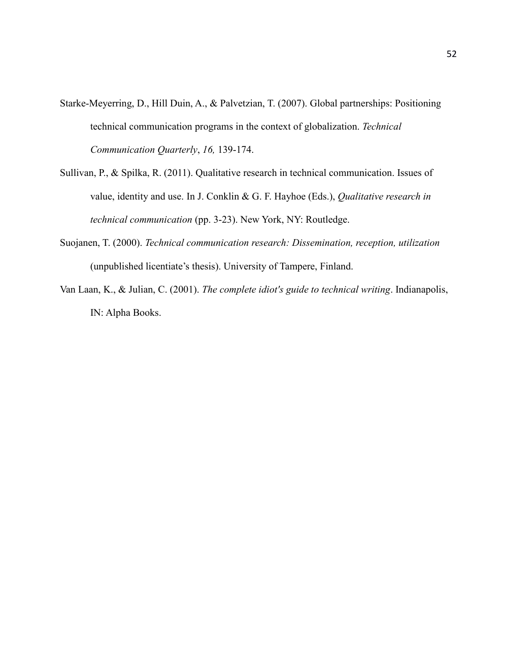- Starke-Meyerring, D., Hill Duin, A., & Palvetzian, T. (2007). Global partnerships: Positioning technical communication programs in the context of globalization. *Technical Communication Quarterly*, *16,* 139-174.
- Sullivan, P., & Spilka, R. (2011). Qualitative research in technical communication. Issues of value, identity and use. In J. Conklin & G. F. Hayhoe (Eds.), *Qualitative research in technical communication* (pp. 3-23). New York, NY: Routledge.
- Suojanen, T. (2000). *Technical communication research: Dissemination, reception, utilization* (unpublished licentiate's thesis). University of Tampere, Finland.
- Van Laan, K., & Julian, C. (2001). *The complete idiot's guide to technical writing*. Indianapolis, IN: Alpha Books.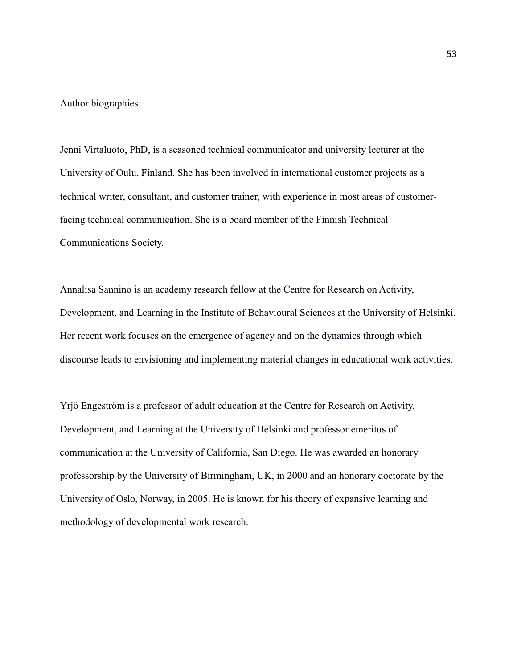#### Author biographies

Jenni Virtaluoto, PhD, is a seasoned technical communicator and university lecturer at the University of Oulu, Finland. She has been involved in international customer projects as a technical writer, consultant, and customer trainer, with experience in most areas of customerfacing technical communication. She is a board member of the Finnish Technical Communications Society.

Annalisa Sannino is an academy research fellow at the Centre for Research on Activity, Development, and Learning in the Institute of Behavioural Sciences at the University of Helsinki. Her recent work focuses on the emergence of agency and on the dynamics through which discourse leads to envisioning and implementing material changes in educational work activities.

Yrjö Engeström is a professor of adult education at the Centre for Research on Activity, Development, and Learning at the University of Helsinki and professor emeritus of communication at the University of California, San Diego. He was awarded an honorary professorship by the University of Birmingham, UK, in 2000 and an honorary doctorate by the University of Oslo, Norway, in 2005. He is known for his theory of expansive learning and methodology of developmental work research.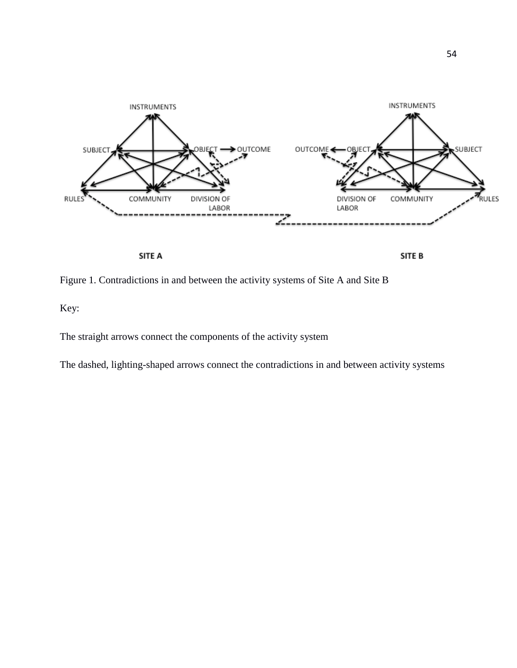

SITE A

SITE B

Figure 1. Contradictions in and between the activity systems of Site A and Site B

Key:

The straight arrows connect the components of the activity system

The dashed, lighting-shaped arrows connect the contradictions in and between activity systems